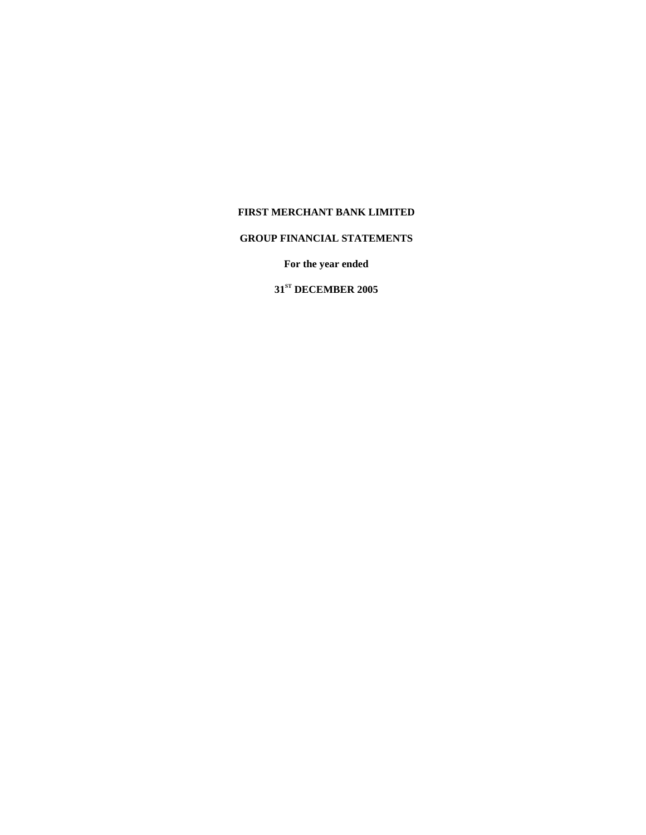# **GROUP FINANCIAL STATEMENTS**

**For the year ended** 

**31ST DECEMBER 2005**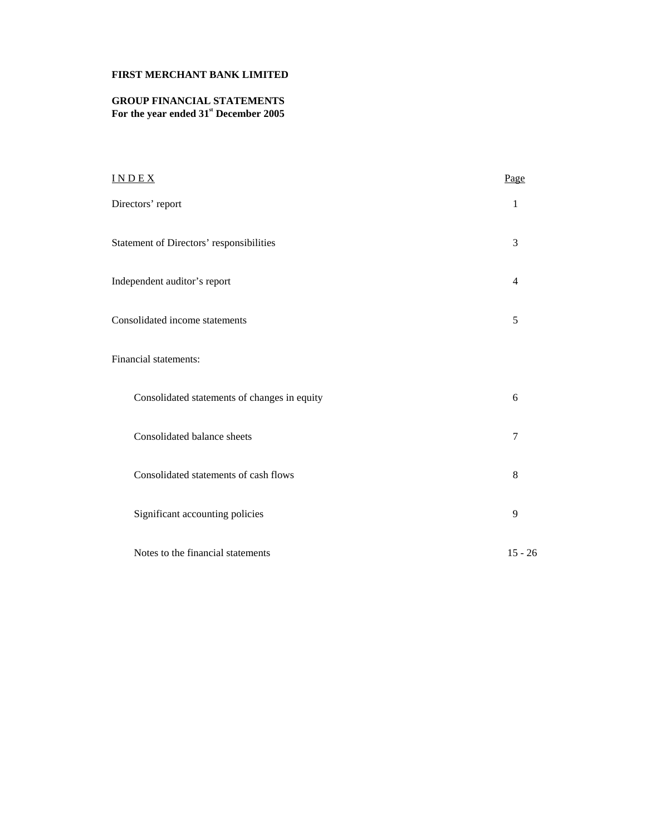# **GROUP FINANCIAL STATEMENTS**  For the year ended  $31<sup>st</sup>$  December 2005

| INDEX                                        | Page           |
|----------------------------------------------|----------------|
| Directors' report                            | 1              |
| Statement of Directors' responsibilities     | 3              |
| Independent auditor's report                 | $\overline{4}$ |
| Consolidated income statements               | 5              |
| Financial statements:                        |                |
| Consolidated statements of changes in equity | 6              |
| Consolidated balance sheets                  | $\overline{7}$ |
| Consolidated statements of cash flows        | 8              |
| Significant accounting policies              | 9              |
| Notes to the financial statements            | $15 - 26$      |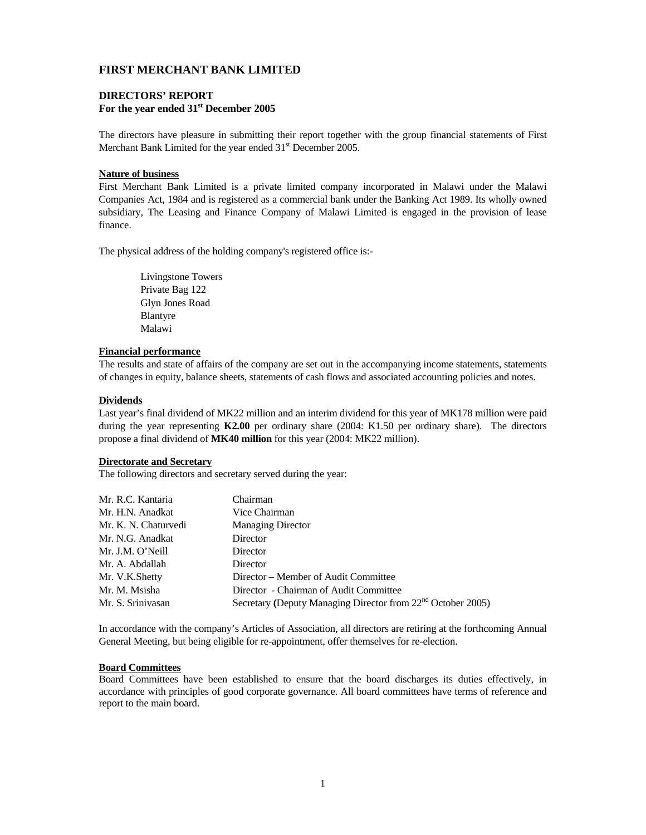## **DIRECTORS' REPORT For the year ended 31st December 2005**

The directors have pleasure in submitting their report together with the group financial statements of First Merchant Bank Limited for the year ended  $31<sup>st</sup>$  December 2005.

### **Nature of business**

First Merchant Bank Limited is a private limited company incorporated in Malawi under the Malawi Companies Act, 1984 and is registered as a commercial bank under the Banking Act 1989. Its wholly owned subsidiary, The Leasing and Finance Company of Malawi Limited is engaged in the provision of lease finance.

The physical address of the holding company's registered office is:-

 Livingstone Towers Private Bag 122 Glyn Jones Road Blantyre Malawi

## **Financial performance**

The results and state of affairs of the company are set out in the accompanying income statements, statements of changes in equity, balance sheets, statements of cash flows and associated accounting policies and notes.

## **Dividends**

Last year's final dividend of MK22 million and an interim dividend for this year of MK178 million were paid during the year representing **K2.00** per ordinary share (2004: K1.50 per ordinary share). The directors propose a final dividend of **MK40 million** for this year (2004: MK22 million).

#### **Directorate and Secretary**

The following directors and secretary served during the year:

| Mr. R.C. Kantaria    | Chairman                                                                |
|----------------------|-------------------------------------------------------------------------|
| Mr. H.N. Anadkat     | Vice Chairman                                                           |
| Mr. K. N. Chaturvedi | <b>Managing Director</b>                                                |
| Mr. N.G. Anadkat     | Director                                                                |
| Mr. J.M. O'Neill     | Director                                                                |
| Mr. A. Abdallah      | Director                                                                |
| Mr. V.K.Shetty       | Director – Member of Audit Committee                                    |
| Mr. M. Msisha        | Director - Chairman of Audit Committee                                  |
| Mr. S. Srinivasan    | Secretary (Deputy Managing Director from 22 <sup>nd</sup> October 2005) |

In accordance with the company's Articles of Association, all directors are retiring at the forthcoming Annual General Meeting, but being eligible for re-appointment, offer themselves for re-election.

#### **Board Committees**

Board Committees have been established to ensure that the board discharges its duties effectively, in accordance with principles of good corporate governance. All board committees have terms of reference and report to the main board.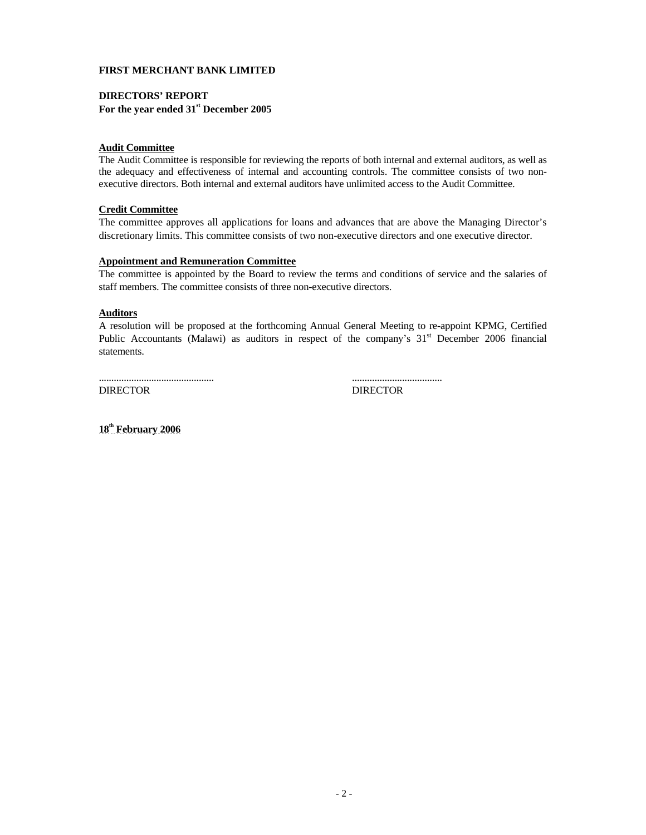## **DIRECTORS' REPORT For the year ended 31st December 2005**

#### **Audit Committee**

The Audit Committee is responsible for reviewing the reports of both internal and external auditors, as well as the adequacy and effectiveness of internal and accounting controls. The committee consists of two nonexecutive directors. Both internal and external auditors have unlimited access to the Audit Committee.

### **Credit Committee**

The committee approves all applications for loans and advances that are above the Managing Director's discretionary limits. This committee consists of two non-executive directors and one executive director.

## **Appointment and Remuneration Committee**

The committee is appointed by the Board to review the terms and conditions of service and the salaries of staff members. The committee consists of three non-executive directors.

## **Auditors**

A resolution will be proposed at the forthcoming Annual General Meeting to re-appoint KPMG, Certified Public Accountants (Malawi) as auditors in respect of the company's 31<sup>st</sup> December 2006 financial statements.

.............................................. ....................................

DIRECTOR DIRECTOR

**18th February 2006**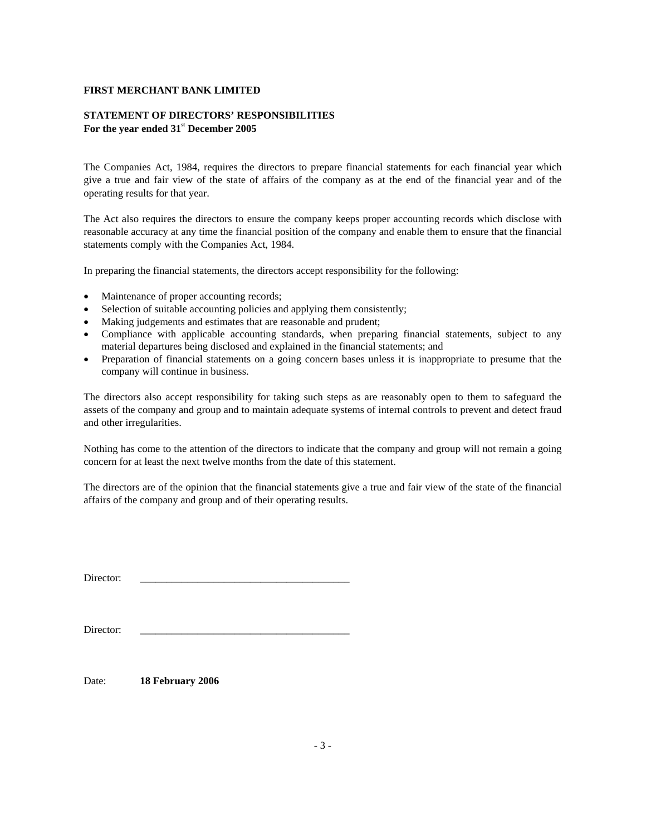# **STATEMENT OF DIRECTORS' RESPONSIBILITIES For the year ended 31st December 2005**

The Companies Act, 1984, requires the directors to prepare financial statements for each financial year which give a true and fair view of the state of affairs of the company as at the end of the financial year and of the operating results for that year.

The Act also requires the directors to ensure the company keeps proper accounting records which disclose with reasonable accuracy at any time the financial position of the company and enable them to ensure that the financial statements comply with the Companies Act, 1984.

In preparing the financial statements, the directors accept responsibility for the following:

- Maintenance of proper accounting records;
- Selection of suitable accounting policies and applying them consistently;
- Making judgements and estimates that are reasonable and prudent;
- Compliance with applicable accounting standards, when preparing financial statements, subject to any material departures being disclosed and explained in the financial statements; and
- Preparation of financial statements on a going concern bases unless it is inappropriate to presume that the company will continue in business.

The directors also accept responsibility for taking such steps as are reasonably open to them to safeguard the assets of the company and group and to maintain adequate systems of internal controls to prevent and detect fraud and other irregularities.

Nothing has come to the attention of the directors to indicate that the company and group will not remain a going concern for at least the next twelve months from the date of this statement.

The directors are of the opinion that the financial statements give a true and fair view of the state of the financial affairs of the company and group and of their operating results.

Director: \_\_\_\_\_\_\_\_\_\_\_\_\_\_\_\_\_\_\_\_\_\_\_\_\_\_\_\_\_\_\_\_\_\_\_\_\_\_\_\_

| Director:<br>. |  |
|----------------|--|
|                |  |

Date: **18 February 2006**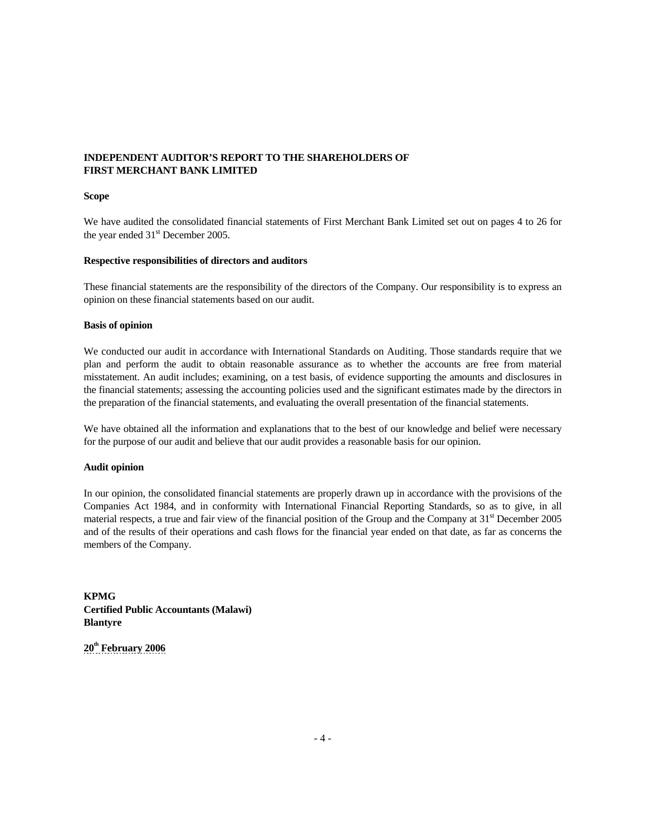# **INDEPENDENT AUDITOR'S REPORT TO THE SHAREHOLDERS OF FIRST MERCHANT BANK LIMITED**

#### **Scope**

We have audited the consolidated financial statements of First Merchant Bank Limited set out on pages 4 to 26 for the year ended 31<sup>st</sup> December 2005.

## **Respective responsibilities of directors and auditors**

These financial statements are the responsibility of the directors of the Company. Our responsibility is to express an opinion on these financial statements based on our audit.

## **Basis of opinion**

We conducted our audit in accordance with International Standards on Auditing. Those standards require that we plan and perform the audit to obtain reasonable assurance as to whether the accounts are free from material misstatement. An audit includes; examining, on a test basis, of evidence supporting the amounts and disclosures in the financial statements; assessing the accounting policies used and the significant estimates made by the directors in the preparation of the financial statements, and evaluating the overall presentation of the financial statements.

We have obtained all the information and explanations that to the best of our knowledge and belief were necessary for the purpose of our audit and believe that our audit provides a reasonable basis for our opinion.

## **Audit opinion**

In our opinion, the consolidated financial statements are properly drawn up in accordance with the provisions of the Companies Act 1984, and in conformity with International Financial Reporting Standards, so as to give, in all material respects, a true and fair view of the financial position of the Group and the Company at  $31<sup>st</sup>$  December 2005 and of the results of their operations and cash flows for the financial year ended on that date, as far as concerns the members of the Company.

**KPMG Certified Public Accountants (Malawi) Blantyre** 

**20th February 2006**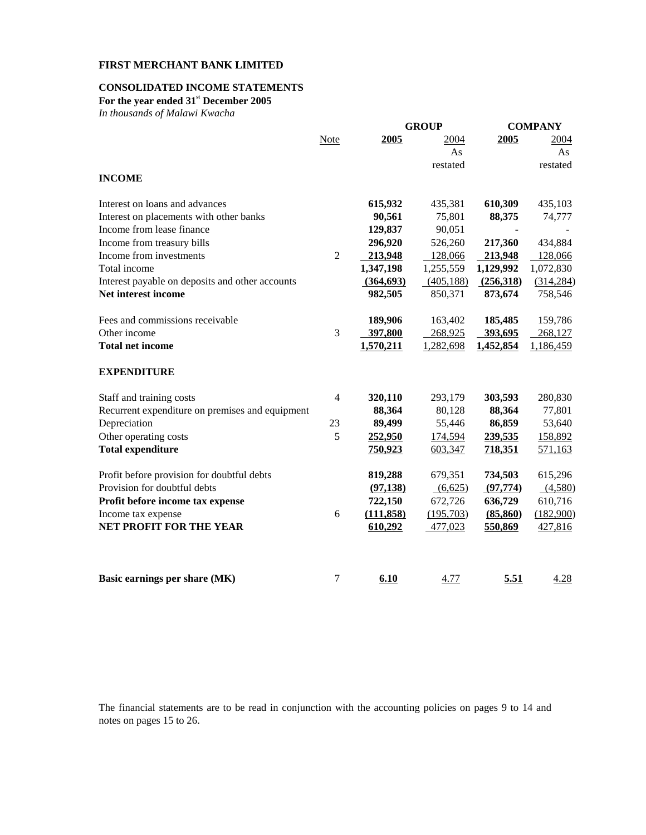# **CONSOLIDATED INCOME STATEMENTS**

**For the year ended 31st December 2005** 

*In thousands of Malawi Kwacha* 

|                                                 |                | <b>GROUP</b> |            | <b>COMPANY</b> |            |
|-------------------------------------------------|----------------|--------------|------------|----------------|------------|
|                                                 | Note           | 2005         | 2004       | 2005           | 2004       |
|                                                 |                |              | As         |                | As         |
|                                                 |                |              | restated   |                | restated   |
| <b>INCOME</b>                                   |                |              |            |                |            |
| Interest on loans and advances                  |                | 615,932      | 435,381    | 610,309        | 435,103    |
| Interest on placements with other banks         |                | 90,561       | 75,801     | 88,375         | 74,777     |
| Income from lease finance                       |                | 129,837      | 90,051     |                |            |
| Income from treasury bills                      |                | 296,920      | 526,260    | 217,360        | 434,884    |
| Income from investments                         | $\overline{2}$ | 213,948      | 128,066    | 213,948        | 128,066    |
| Total income                                    |                | 1,347,198    | 1,255,559  | 1,129,992      | 1,072,830  |
| Interest payable on deposits and other accounts |                | (364, 693)   | (405, 188) | (256,318)      | (314, 284) |
| Net interest income                             |                | 982,505      | 850,371    | 873,674        | 758,546    |
| Fees and commissions receivable                 |                | 189,906      | 163,402    | 185,485        | 159,786    |
| Other income                                    | 3              | 397,800      | 268,925    | 393,695        | 268,127    |
| <b>Total net income</b>                         |                | 1,570,211    | 1,282,698  | 1,452,854      | 1,186,459  |
| <b>EXPENDITURE</b>                              |                |              |            |                |            |
| Staff and training costs                        | $\overline{4}$ | 320,110      | 293,179    | 303,593        | 280,830    |
| Recurrent expenditure on premises and equipment |                | 88,364       | 80,128     | 88,364         | 77,801     |
| Depreciation                                    | 23             | 89,499       | 55,446     | 86,859         | 53,640     |
| Other operating costs                           | 5              | 252,950      | 174,594    | 239,535        | 158,892    |
| <b>Total expenditure</b>                        |                | 750,923      | 603,347    | 718,351        | 571,163    |
| Profit before provision for doubtful debts      |                | 819,288      | 679,351    | 734,503        | 615,296    |
| Provision for doubtful debts                    |                | (97, 138)    | (6,625)    | (97, 774)      | (4,580)    |
| Profit before income tax expense                |                | 722,150      | 672,726    | 636,729        | 610,716    |
| Income tax expense                              | 6              | (111, 858)   | (195,703)  | (85, 860)      | (182,900)  |
| <b>NET PROFIT FOR THE YEAR</b>                  |                | 610,292      | 477,023    | 550,869        | 427,816    |
|                                                 |                |              |            |                |            |
| Basic earnings per share (MK)                   | $\tau$         | 6.10         | 4.77       | 5.51           | 4.28       |

The financial statements are to be read in conjunction with the accounting policies on pages 9 to 14 and notes on pages 15 to 26.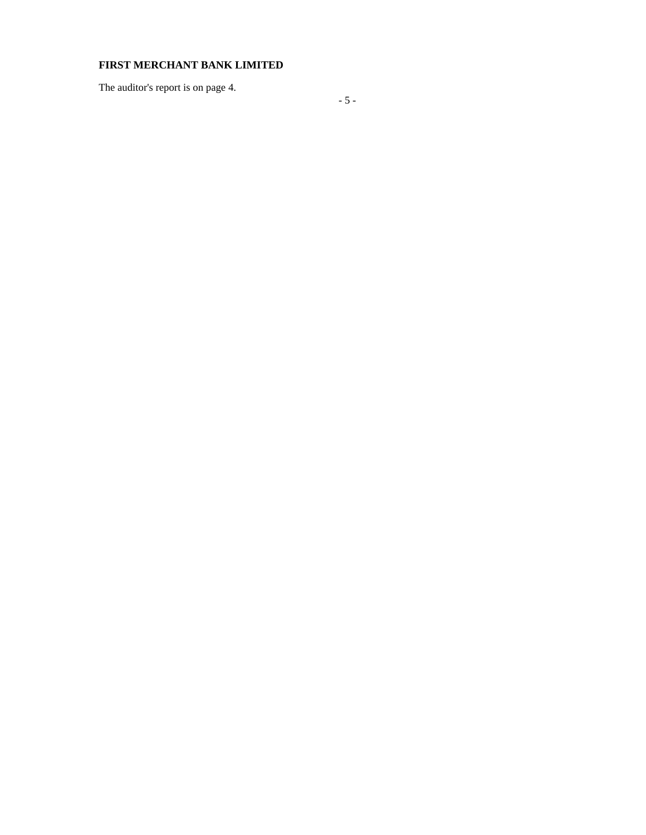The auditor's report is on page 4.

- 5 -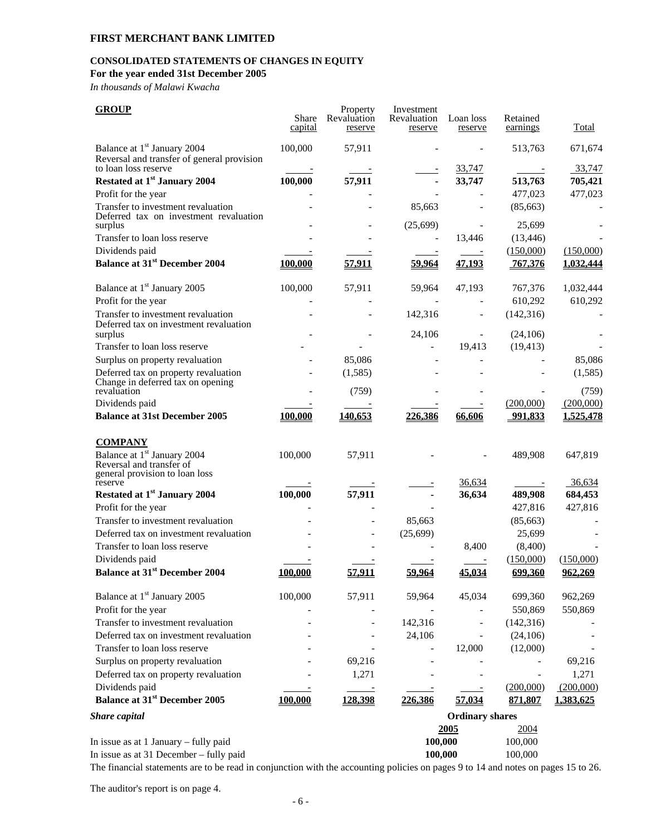# **CONSOLIDATED STATEMENTS OF CHANGES IN EQUITY**

**For the year ended 31st December 2005** 

*In thousands of Malawi Kwacha* 

| <b>GROUP</b>                                                                                          | Share<br>capital | Property<br>Revaluation<br>reserve | Investment<br>Revaluation<br>reserve | Loan loss<br>reserve   | Retained<br>earnings    | Total     |
|-------------------------------------------------------------------------------------------------------|------------------|------------------------------------|--------------------------------------|------------------------|-------------------------|-----------|
| Balance at 1 <sup>st</sup> January 2004<br>Reversal and transfer of general provision                 | 100,000          | 57,911                             |                                      |                        | 513,763                 | 671,674   |
| to loan loss reserve                                                                                  |                  |                                    |                                      | 33,747                 |                         | 33,747    |
| Restated at 1 <sup>st</sup> January 2004                                                              | 100,000          | 57,911                             |                                      | 33,747                 | 513,763                 | 705,421   |
| Profit for the year                                                                                   |                  |                                    |                                      |                        | 477,023                 | 477,023   |
| Transfer to investment revaluation<br>Deferred tax on investment revaluation<br>surplus               |                  |                                    | 85,663<br>(25,699)                   |                        | (85, 663)<br>25,699     |           |
| Transfer to loan loss reserve                                                                         |                  |                                    |                                      | 13,446                 | (13, 446)               |           |
| Dividends paid                                                                                        |                  |                                    |                                      |                        | (150,000)               | (150,000) |
| <b>Balance at 31st December 2004</b>                                                                  | 100,000          | 57,911                             | 59,964                               | 47,193                 | 767,376                 | 1,032,444 |
| Balance at 1 <sup>st</sup> January 2005                                                               | 100,000          | 57,911                             | 59,964                               | 47,193                 | 767,376                 | 1,032,444 |
| Profit for the year                                                                                   |                  |                                    |                                      |                        | 610,292                 | 610,292   |
| Transfer to investment revaluation<br>Deferred tax on investment revaluation                          |                  |                                    | 142,316<br>24,106                    |                        | (142, 316)<br>(24, 106) |           |
| surplus<br>Transfer to loan loss reserve                                                              |                  |                                    |                                      | 19,413                 | (19, 413)               |           |
| Surplus on property revaluation                                                                       |                  | 85,086                             |                                      |                        |                         | 85,086    |
| Deferred tax on property revaluation                                                                  |                  | (1,585)                            |                                      |                        |                         | (1,585)   |
| Change in deferred tax on opening<br>revaluation                                                      |                  | (759)                              |                                      |                        |                         | (759)     |
| Dividends paid                                                                                        |                  |                                    |                                      |                        | (200,000)               | (200,000) |
| <b>Balance at 31st December 2005</b>                                                                  | 100,000          | 140,653                            | 226,386                              | 66,606                 | 991,833                 | 1,525,478 |
| <b>COMPANY</b>                                                                                        |                  |                                    |                                      |                        |                         |           |
| Balance at 1 <sup>st</sup> January 2004<br>Reversal and transfer of<br>general provision to loan loss | 100,000          | 57,911                             |                                      |                        | 489,908                 | 647,819   |
| reserve                                                                                               |                  |                                    |                                      | 36,634                 |                         | 36,634    |
| Restated at 1 <sup>st</sup> January 2004                                                              | 100,000          | 57,911                             |                                      | 36,634                 | 489,908                 | 684,453   |
| Profit for the year                                                                                   |                  |                                    |                                      |                        | 427,816                 | 427,816   |
| Transfer to investment revaluation                                                                    |                  |                                    | 85,663                               |                        | (85, 663)               |           |
| Deferred tax on investment revaluation                                                                |                  |                                    | (25, 699)                            |                        | 25,699                  |           |
| Transfer to loan loss reserve                                                                         |                  |                                    |                                      | 8,400                  | (8,400)                 |           |
| Dividends paid                                                                                        |                  |                                    |                                      |                        | (150,000)               | (150,000) |
| <b>Balance at 31st December 2004</b>                                                                  | 100,000          | 57.911                             | 59,964                               | 45,034                 | 699,360                 | 962,269   |
| Balance at 1 <sup>st</sup> January 2005                                                               | 100,000          | 57,911                             | 59,964                               | 45,034                 | 699,360                 | 962,269   |
| Profit for the year                                                                                   |                  |                                    |                                      |                        | 550,869                 | 550,869   |
| Transfer to investment revaluation                                                                    |                  |                                    | 142,316                              |                        | (142, 316)              |           |
| Deferred tax on investment revaluation                                                                |                  |                                    | 24,106                               |                        | (24, 106)               |           |
| Transfer to loan loss reserve                                                                         |                  |                                    |                                      | 12,000                 | (12,000)                |           |
| Surplus on property revaluation                                                                       |                  | 69,216                             |                                      |                        |                         | 69,216    |
| Deferred tax on property revaluation                                                                  |                  | 1,271                              |                                      |                        |                         | 1,271     |
| Dividends paid                                                                                        |                  |                                    |                                      |                        | (200,000)               | (200,000) |
| <b>Balance at 31st December 2005</b>                                                                  | 100,000          | 128,398                            | 226,386                              | 57,034                 | 871,807                 | 1,383,625 |
| <b>Share capital</b>                                                                                  |                  |                                    |                                      | <b>Ordinary shares</b> |                         |           |
|                                                                                                       |                  |                                    |                                      | 2005                   | 2004                    |           |
| In issue as at 1 January - fully paid                                                                 |                  |                                    | 100,000                              |                        | 100,000                 |           |
| In issue as at 31 December - fully paid                                                               |                  |                                    | 100,000                              |                        | 100,000                 |           |

The financial statements are to be read in conjunction with the accounting policies on pages 9 to 14 and notes on pages 15 to 26.

The auditor's report is on page 4.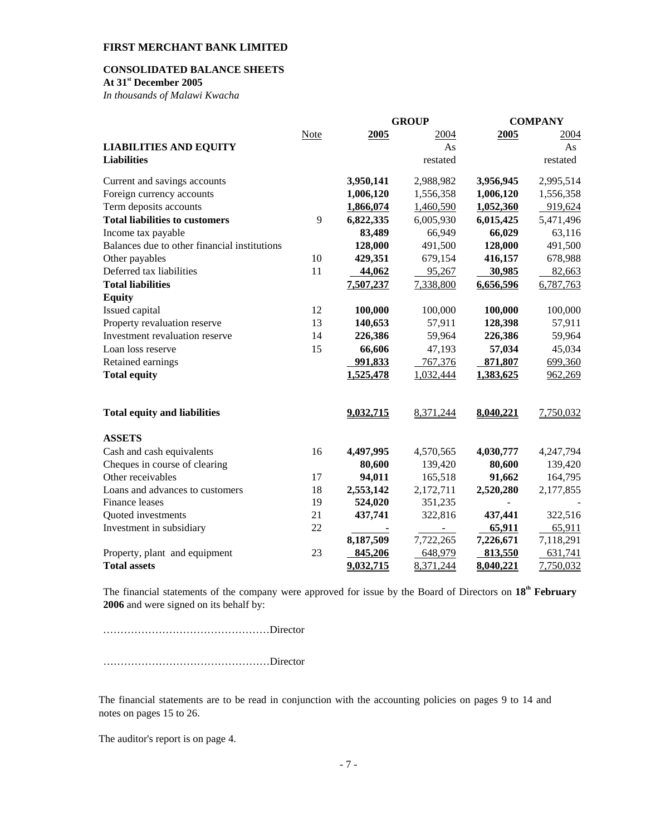# **CONSOLIDATED BALANCE SHEETS**

**At 31st December 2005** 

*In thousands of Malawi Kwacha* 

|                                              |             |           | <b>GROUP</b>   |           | <b>COMPANY</b> |
|----------------------------------------------|-------------|-----------|----------------|-----------|----------------|
|                                              | <b>Note</b> | 2005      | 2004           | 2005      | 2004           |
| <b>LIABILITIES AND EQUITY</b>                |             |           | As             |           | As             |
| <b>Liabilities</b>                           |             |           | restated       |           | restated       |
| Current and savings accounts                 |             | 3,950,141 | 2,988,982      | 3,956,945 | 2,995,514      |
| Foreign currency accounts                    |             | 1,006,120 | 1,556,358      | 1,006,120 | 1,556,358      |
| Term deposits accounts                       |             | 1,866,074 | 1,460,590      | 1,052,360 | 919,624        |
| <b>Total liabilities to customers</b>        | 9           | 6,822,335 | 6,005,930      | 6,015,425 | 5,471,496      |
| Income tax payable                           |             | 83,489    | 66,949         | 66,029    | 63,116         |
| Balances due to other financial institutions |             | 128,000   | 491,500        | 128,000   | 491,500        |
| Other payables                               | 10          | 429,351   | 679,154        | 416,157   | 678,988        |
| Deferred tax liabilities                     | 11          | 44,062    | 95,267         | 30,985    | 82,663         |
| <b>Total liabilities</b>                     |             | 7,507,237 | 7,338,800      | 6,656,596 | 6,787,763      |
| <b>Equity</b>                                |             |           |                |           |                |
| Issued capital                               | 12          | 100,000   | 100,000        | 100,000   | 100,000        |
| Property revaluation reserve                 | 13          | 140,653   | 57,911         | 128,398   | 57,911         |
| Investment revaluation reserve               | 14          | 226,386   | 59,964         | 226,386   | 59,964         |
| Loan loss reserve                            | 15          | 66,606    | 47,193         | 57,034    | 45,034         |
| Retained earnings                            |             | 991,833   | 767,376        | 871,807   | 699,360        |
| <b>Total equity</b>                          |             | 1,525,478 | 1,032,444      | 1,383,625 | 962,269        |
| <b>Total equity and liabilities</b>          |             | 9,032,715 | 8,371,244      | 8,040,221 | 7,750,032      |
| <b>ASSETS</b>                                |             |           |                |           |                |
| Cash and cash equivalents                    | 16          | 4,497,995 | 4,570,565      | 4,030,777 | 4,247,794      |
| Cheques in course of clearing                |             | 80,600    | 139,420        | 80,600    | 139,420        |
| Other receivables                            | 17          | 94,011    | 165,518        | 91,662    | 164,795        |
| Loans and advances to customers              | 18          | 2,553,142 | 2,172,711      | 2,520,280 | 2,177,855      |
| Finance leases                               | 19          | 524,020   | 351,235        |           |                |
| Quoted investments                           | 21          | 437,741   | 322,816        | 437,441   | 322,516        |
| Investment in subsidiary                     | 22          |           | $\blacksquare$ | 65,911    | 65,911         |
|                                              |             | 8,187,509 | 7,722,265      | 7,226,671 | 7,118,291      |
| Property, plant and equipment                | 23          | 845,206   | 648,979        | 813,550   | 631,741        |
| <b>Total assets</b>                          |             | 9,032,715 | 8,371,244      | 8,040,221 | 7,750,032      |

The financial statements of the company were approved for issue by the Board of Directors on **18th February 2006** and were signed on its behalf by:

…………………………………………Director

…………………………………………Director

The financial statements are to be read in conjunction with the accounting policies on pages 9 to 14 and notes on pages 15 to 26.

The auditor's report is on page 4.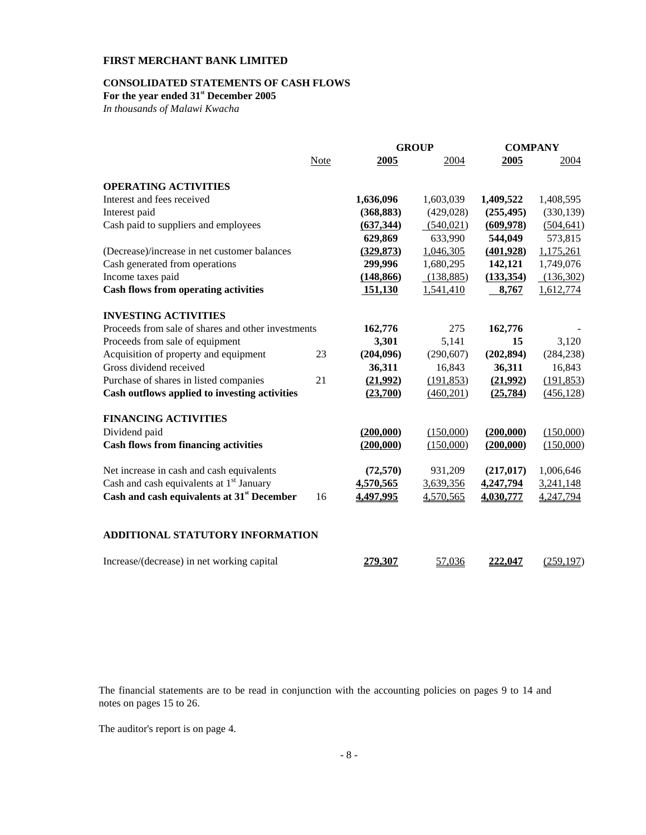# **CONSOLIDATED STATEMENTS OF CASH FLOWS**

For the year ended  $31^{\text{st}}$  December 2005

*In thousands of Malawi Kwacha* 

|                                                        |             |            | <b>GROUP</b> | <b>COMPANY</b> |            |
|--------------------------------------------------------|-------------|------------|--------------|----------------|------------|
|                                                        | <b>Note</b> | 2005       | 2004         | 2005           | 2004       |
| <b>OPERATING ACTIVITIES</b>                            |             |            |              |                |            |
| Interest and fees received                             |             | 1,636,096  | 1,603,039    | 1,409,522      | 1,408,595  |
| Interest paid                                          |             | (368, 883) | (429, 028)   | (255, 495)     | (330, 139) |
| Cash paid to suppliers and employees                   |             | (637, 344) | (540, 021)   | (609, 978)     | (504, 641) |
|                                                        |             | 629,869    | 633,990      | 544,049        | 573,815    |
| (Decrease)/increase in net customer balances           |             | (329, 873) | 1,046,305    | (401,928)      | 1,175,261  |
| Cash generated from operations                         |             | 299,996    | 1,680,295    | 142,121        | 1,749,076  |
| Income taxes paid                                      |             | (148, 866) | (138, 885)   | (133, 354)     | (136,302)  |
| <b>Cash flows from operating activities</b>            |             | 151,130    | 1,541,410    | 8,767          | 1,612,774  |
| <b>INVESTING ACTIVITIES</b>                            |             |            |              |                |            |
| Proceeds from sale of shares and other investments     |             | 162,776    | 275          | 162,776        |            |
| Proceeds from sale of equipment                        |             | 3,301      | 5,141        | 15             | 3,120      |
| Acquisition of property and equipment                  | 23          | (204, 096) | (290, 607)   | (202, 894)     | (284, 238) |
| Gross dividend received                                |             | 36,311     | 16,843       | 36,311         | 16,843     |
| Purchase of shares in listed companies                 | 21          | (21,992)   | (191, 853)   | (21,992)       | (191, 853) |
| Cash outflows applied to investing activities          |             | (23,700)   | (460, 201)   | (25,784)       | (456, 128) |
| <b>FINANCING ACTIVITIES</b>                            |             |            |              |                |            |
| Dividend paid                                          |             | (200,000)  | (150,000)    | (200,000)      | (150,000)  |
| <b>Cash flows from financing activities</b>            |             | (200,000)  | (150,000)    | (200,000)      | (150,000)  |
| Net increase in cash and cash equivalents              |             | (72, 570)  | 931,209      | (217, 017)     | 1,006,646  |
| Cash and cash equivalents at 1 <sup>st</sup> January   |             | 4,570,565  | 3,639,356    | 4,247,794      | 3,241,148  |
| Cash and cash equivalents at 31 <sup>st</sup> December | 16          | 4,497,995  | 4,570,565    | 4,030,777      | 4,247,794  |
| ADDITIONAL STATUTORY INFORMATION                       |             |            |              |                |            |
| Increase/(decrease) in net working capital             |             | 279,307    | 57,036       | 222,047        | (259, 197) |

The financial statements are to be read in conjunction with the accounting policies on pages 9 to 14 and notes on pages 15 to 26.

The auditor's report is on page 4.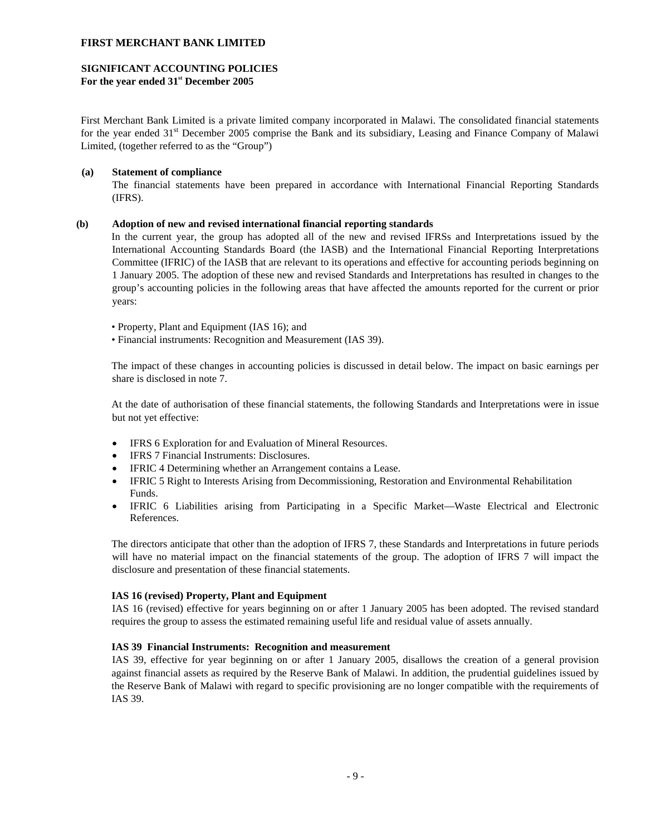# **SIGNIFICANT ACCOUNTING POLICIES**

**For the year ended 31st December 2005** 

First Merchant Bank Limited is a private limited company incorporated in Malawi. The consolidated financial statements for the year ended 31<sup>st</sup> December 2005 comprise the Bank and its subsidiary, Leasing and Finance Company of Malawi Limited, (together referred to as the "Group")

# **(a) Statement of compliance**

The financial statements have been prepared in accordance with International Financial Reporting Standards (IFRS).

## **(b) Adoption of new and revised international financial reporting standards**

In the current year, the group has adopted all of the new and revised IFRSs and Interpretations issued by the International Accounting Standards Board (the IASB) and the International Financial Reporting Interpretations Committee (IFRIC) of the IASB that are relevant to its operations and effective for accounting periods beginning on 1 January 2005. The adoption of these new and revised Standards and Interpretations has resulted in changes to the group's accounting policies in the following areas that have affected the amounts reported for the current or prior years:

- Property, Plant and Equipment (IAS 16); and
- Financial instruments: Recognition and Measurement (IAS 39).

The impact of these changes in accounting policies is discussed in detail below. The impact on basic earnings per share is disclosed in note 7.

At the date of authorisation of these financial statements, the following Standards and Interpretations were in issue but not yet effective:

- IFRS 6 Exploration for and Evaluation of Mineral Resources.
- IFRS 7 Financial Instruments: Disclosures.
- IFRIC 4 Determining whether an Arrangement contains a Lease.
- IFRIC 5 Right to Interests Arising from Decommissioning, Restoration and Environmental Rehabilitation Funds.
- IFRIC 6 Liabilities arising from Participating in a Specific Market—Waste Electrical and Electronic References.

The directors anticipate that other than the adoption of IFRS 7, these Standards and Interpretations in future periods will have no material impact on the financial statements of the group. The adoption of IFRS 7 will impact the disclosure and presentation of these financial statements.

## **IAS 16 (revised) Property, Plant and Equipment**

 IAS 16 (revised) effective for years beginning on or after 1 January 2005 has been adopted. The revised standard requires the group to assess the estimated remaining useful life and residual value of assets annually.

## **IAS 39 Financial Instruments: Recognition and measurement**

 IAS 39, effective for year beginning on or after 1 January 2005, disallows the creation of a general provision against financial assets as required by the Reserve Bank of Malawi. In addition, the prudential guidelines issued by the Reserve Bank of Malawi with regard to specific provisioning are no longer compatible with the requirements of IAS 39.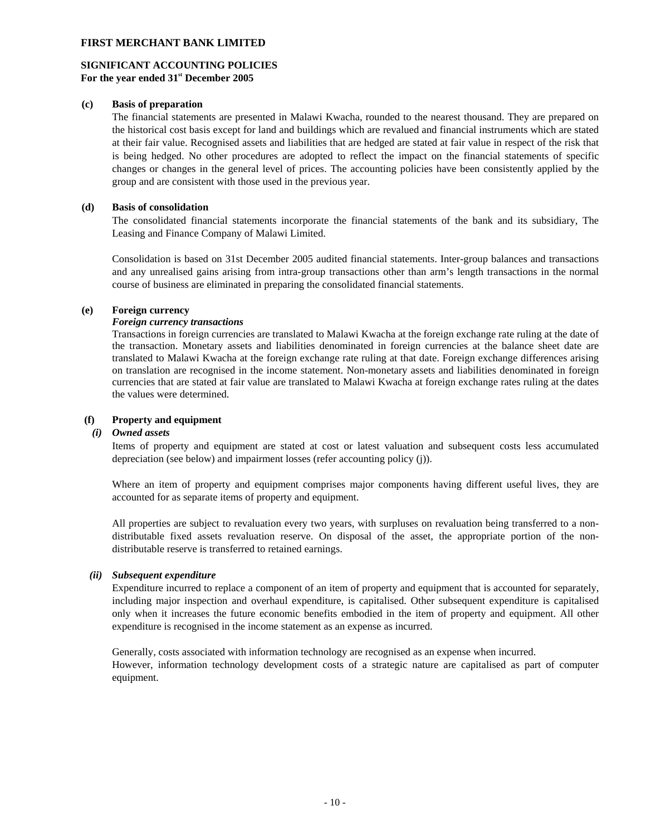## **SIGNIFICANT ACCOUNTING POLICIES For the year ended 31st December 2005**

## **(c) Basis of preparation**

The financial statements are presented in Malawi Kwacha, rounded to the nearest thousand. They are prepared on the historical cost basis except for land and buildings which are revalued and financial instruments which are stated at their fair value. Recognised assets and liabilities that are hedged are stated at fair value in respect of the risk that is being hedged. No other procedures are adopted to reflect the impact on the financial statements of specific changes or changes in the general level of prices. The accounting policies have been consistently applied by the group and are consistent with those used in the previous year.

## **(d) Basis of consolidation**

The consolidated financial statements incorporate the financial statements of the bank and its subsidiary, The Leasing and Finance Company of Malawi Limited.

Consolidation is based on 31st December 2005 audited financial statements. Inter-group balances and transactions and any unrealised gains arising from intra-group transactions other than arm's length transactions in the normal course of business are eliminated in preparing the consolidated financial statements.

## **(e) Foreign currency**

## *Foreign currency transactions*

Transactions in foreign currencies are translated to Malawi Kwacha at the foreign exchange rate ruling at the date of the transaction. Monetary assets and liabilities denominated in foreign currencies at the balance sheet date are translated to Malawi Kwacha at the foreign exchange rate ruling at that date. Foreign exchange differences arising on translation are recognised in the income statement. Non-monetary assets and liabilities denominated in foreign currencies that are stated at fair value are translated to Malawi Kwacha at foreign exchange rates ruling at the dates the values were determined.

## **(f) Property and equipment**

#### *(i) Owned assets*

Items of property and equipment are stated at cost or latest valuation and subsequent costs less accumulated depreciation (see below) and impairment losses (refer accounting policy (j)).

Where an item of property and equipment comprises major components having different useful lives, they are accounted for as separate items of property and equipment.

All properties are subject to revaluation every two years, with surpluses on revaluation being transferred to a nondistributable fixed assets revaluation reserve. On disposal of the asset, the appropriate portion of the nondistributable reserve is transferred to retained earnings.

## *(ii) Subsequent expenditure*

Expenditure incurred to replace a component of an item of property and equipment that is accounted for separately, including major inspection and overhaul expenditure, is capitalised. Other subsequent expenditure is capitalised only when it increases the future economic benefits embodied in the item of property and equipment. All other expenditure is recognised in the income statement as an expense as incurred.

Generally, costs associated with information technology are recognised as an expense when incurred. However, information technology development costs of a strategic nature are capitalised as part of computer equipment.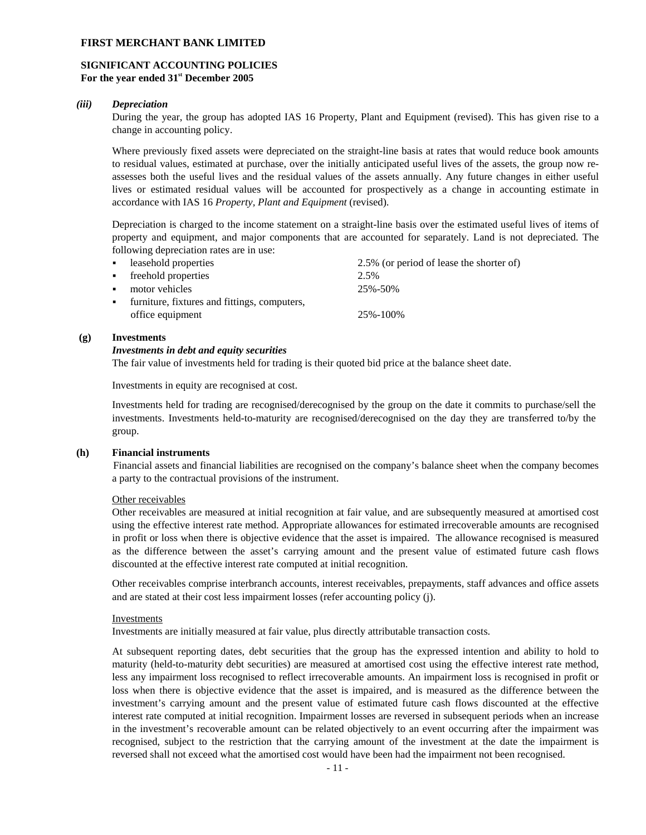## **SIGNIFICANT ACCOUNTING POLICIES For the year ended 31st December 2005**

## *(iii) Depreciation*

During the year, the group has adopted IAS 16 Property, Plant and Equipment (revised). This has given rise to a change in accounting policy.

Where previously fixed assets were depreciated on the straight-line basis at rates that would reduce book amounts to residual values, estimated at purchase, over the initially anticipated useful lives of the assets, the group now reassesses both the useful lives and the residual values of the assets annually. Any future changes in either useful lives or estimated residual values will be accounted for prospectively as a change in accounting estimate in accordance with IAS 16 *Property, Plant and Equipment* (revised).

Depreciation is charged to the income statement on a straight-line basis over the estimated useful lives of items of property and equipment, and major components that are accounted for separately. Land is not depreciated. The following depreciation rates are in use:

|                           | • leasehold properties                         | 2.5% (or period of lease the shorter of) |
|---------------------------|------------------------------------------------|------------------------------------------|
|                           | • freehold properties                          | 2.5%                                     |
| $\mathbf{H}^{\text{max}}$ | motor vehicles                                 | 25%-50%                                  |
|                           | • furniture, fixtures and fittings, computers, |                                          |
|                           | office equipment                               | 25%-100%                                 |
|                           |                                                |                                          |

#### **(g) Investments**

#### *Investments in debt and equity securities*

The fair value of investments held for trading is their quoted bid price at the balance sheet date.

Investments in equity are recognised at cost.

Investments held for trading are recognised/derecognised by the group on the date it commits to purchase/sell the investments. Investments held-to-maturity are recognised/derecognised on the day they are transferred to/by the group.

#### **(h) Financial instruments**

Financial assets and financial liabilities are recognised on the company's balance sheet when the company becomes a party to the contractual provisions of the instrument.

## Other receivables

Other receivables are measured at initial recognition at fair value, and are subsequently measured at amortised cost using the effective interest rate method. Appropriate allowances for estimated irrecoverable amounts are recognised in profit or loss when there is objective evidence that the asset is impaired. The allowance recognised is measured as the difference between the asset's carrying amount and the present value of estimated future cash flows discounted at the effective interest rate computed at initial recognition.

Other receivables comprise interbranch accounts, interest receivables, prepayments, staff advances and office assets and are stated at their cost less impairment losses (refer accounting policy (j).

#### Investments

Investments are initially measured at fair value, plus directly attributable transaction costs.

At subsequent reporting dates, debt securities that the group has the expressed intention and ability to hold to maturity (held-to-maturity debt securities) are measured at amortised cost using the effective interest rate method, less any impairment loss recognised to reflect irrecoverable amounts. An impairment loss is recognised in profit or loss when there is objective evidence that the asset is impaired, and is measured as the difference between the investment's carrying amount and the present value of estimated future cash flows discounted at the effective interest rate computed at initial recognition. Impairment losses are reversed in subsequent periods when an increase in the investment's recoverable amount can be related objectively to an event occurring after the impairment was recognised, subject to the restriction that the carrying amount of the investment at the date the impairment is reversed shall not exceed what the amortised cost would have been had the impairment not been recognised.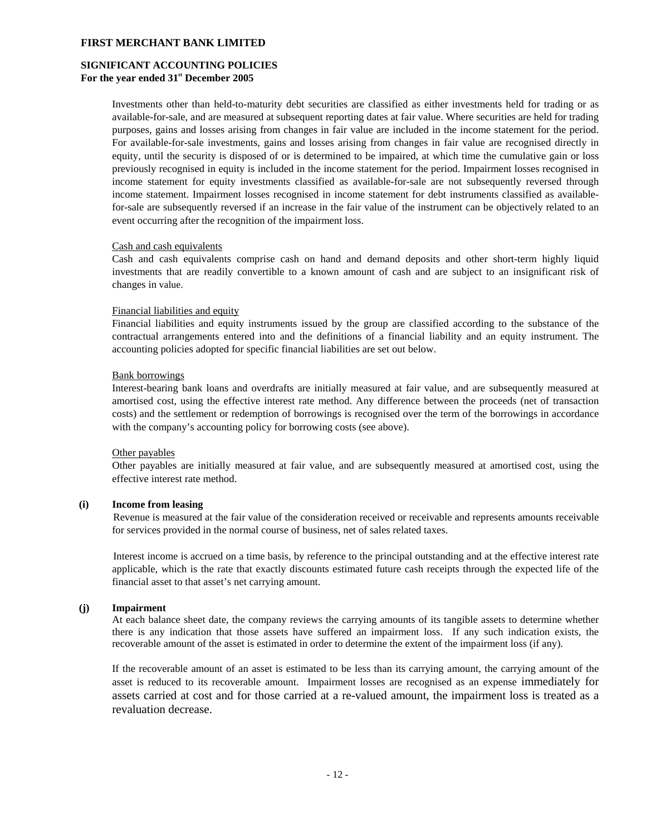## **SIGNIFICANT ACCOUNTING POLICIES For the year ended 31st December 2005**

Investments other than held-to-maturity debt securities are classified as either investments held for trading or as available-for-sale, and are measured at subsequent reporting dates at fair value. Where securities are held for trading purposes, gains and losses arising from changes in fair value are included in the income statement for the period. For available-for-sale investments, gains and losses arising from changes in fair value are recognised directly in equity, until the security is disposed of or is determined to be impaired, at which time the cumulative gain or loss previously recognised in equity is included in the income statement for the period. Impairment losses recognised in income statement for equity investments classified as available-for-sale are not subsequently reversed through income statement. Impairment losses recognised in income statement for debt instruments classified as availablefor-sale are subsequently reversed if an increase in the fair value of the instrument can be objectively related to an event occurring after the recognition of the impairment loss.

#### Cash and cash equivalents

Cash and cash equivalents comprise cash on hand and demand deposits and other short-term highly liquid investments that are readily convertible to a known amount of cash and are subject to an insignificant risk of changes in value.

#### Financial liabilities and equity

Financial liabilities and equity instruments issued by the group are classified according to the substance of the contractual arrangements entered into and the definitions of a financial liability and an equity instrument. The accounting policies adopted for specific financial liabilities are set out below.

#### Bank borrowings

Interest-bearing bank loans and overdrafts are initially measured at fair value, and are subsequently measured at amortised cost, using the effective interest rate method. Any difference between the proceeds (net of transaction costs) and the settlement or redemption of borrowings is recognised over the term of the borrowings in accordance with the company's accounting policy for borrowing costs (see above).

#### Other payables

Other payables are initially measured at fair value, and are subsequently measured at amortised cost, using the effective interest rate method.

## **(i) Income from leasing**

Revenue is measured at the fair value of the consideration received or receivable and represents amounts receivable for services provided in the normal course of business, net of sales related taxes.

Interest income is accrued on a time basis, by reference to the principal outstanding and at the effective interest rate applicable, which is the rate that exactly discounts estimated future cash receipts through the expected life of the financial asset to that asset's net carrying amount.

#### **(j) Impairment**

At each balance sheet date, the company reviews the carrying amounts of its tangible assets to determine whether there is any indication that those assets have suffered an impairment loss. If any such indication exists, the recoverable amount of the asset is estimated in order to determine the extent of the impairment loss (if any).

If the recoverable amount of an asset is estimated to be less than its carrying amount, the carrying amount of the asset is reduced to its recoverable amount. Impairment losses are recognised as an expense immediately for assets carried at cost and for those carried at a re-valued amount, the impairment loss is treated as a revaluation decrease.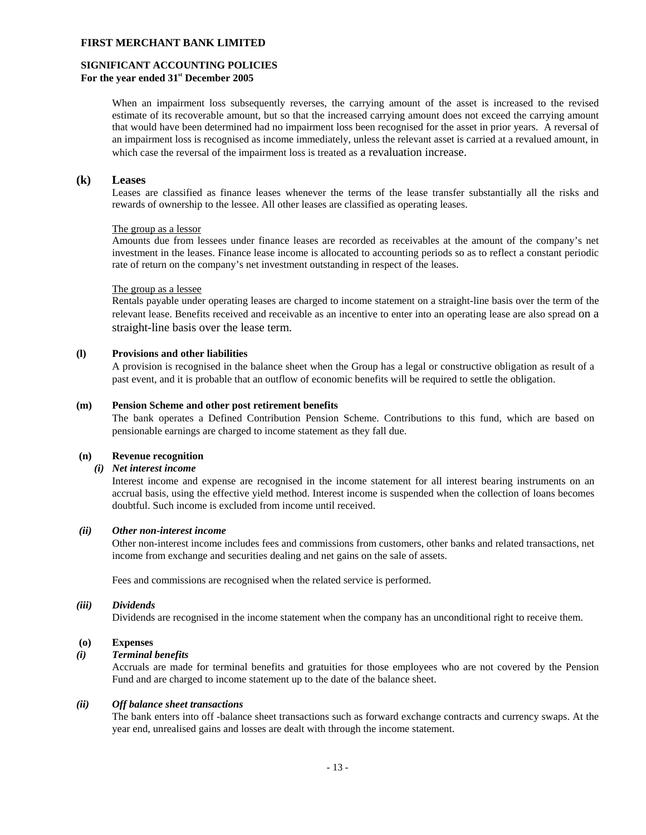#### **SIGNIFICANT ACCOUNTING POLICIES For the year ended 31st December 2005**

When an impairment loss subsequently reverses, the carrying amount of the asset is increased to the revised estimate of its recoverable amount, but so that the increased carrying amount does not exceed the carrying amount that would have been determined had no impairment loss been recognised for the asset in prior years. A reversal of an impairment loss is recognised as income immediately, unless the relevant asset is carried at a revalued amount, in which case the reversal of the impairment loss is treated as a revaluation increase.

#### **(k) Leases**

Leases are classified as finance leases whenever the terms of the lease transfer substantially all the risks and rewards of ownership to the lessee. All other leases are classified as operating leases.

#### The group as a lessor

Amounts due from lessees under finance leases are recorded as receivables at the amount of the company's net investment in the leases. Finance lease income is allocated to accounting periods so as to reflect a constant periodic rate of return on the company's net investment outstanding in respect of the leases.

#### The group as a lessee

Rentals payable under operating leases are charged to income statement on a straight-line basis over the term of the relevant lease. Benefits received and receivable as an incentive to enter into an operating lease are also spread on a straight-line basis over the lease term.

### **(l) Provisions and other liabilities**

A provision is recognised in the balance sheet when the Group has a legal or constructive obligation as result of a past event, and it is probable that an outflow of economic benefits will be required to settle the obligation.

#### **(m) Pension Scheme and other post retirement benefits**

The bank operates a Defined Contribution Pension Scheme. Contributions to this fund, which are based on pensionable earnings are charged to income statement as they fall due.

#### **(n) Revenue recognition**

# *(i) Net interest income*

Interest income and expense are recognised in the income statement for all interest bearing instruments on an accrual basis, using the effective yield method. Interest income is suspended when the collection of loans becomes doubtful. Such income is excluded from income until received.

#### *(ii) Other non-interest income*

Other non-interest income includes fees and commissions from customers, other banks and related transactions, net income from exchange and securities dealing and net gains on the sale of assets.

Fees and commissions are recognised when the related service is performed.

#### *(iii) Dividends*

Dividends are recognised in the income statement when the company has an unconditional right to receive them.

#### **(o) Expenses**

#### *(i) Terminal benefits*

Accruals are made for terminal benefits and gratuities for those employees who are not covered by the Pension Fund and are charged to income statement up to the date of the balance sheet.

### *(ii) Off balance sheet transactions*

The bank enters into off -balance sheet transactions such as forward exchange contracts and currency swaps. At the year end, unrealised gains and losses are dealt with through the income statement.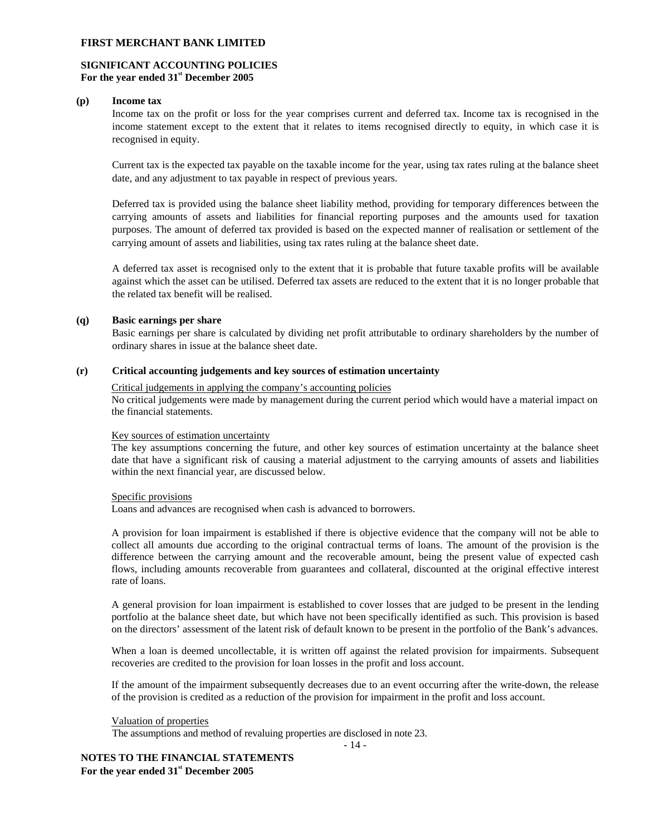## **SIGNIFICANT ACCOUNTING POLICIES For the year ended 31st December 2005**

#### **(p) Income tax**

Income tax on the profit or loss for the year comprises current and deferred tax. Income tax is recognised in the income statement except to the extent that it relates to items recognised directly to equity, in which case it is recognised in equity.

Current tax is the expected tax payable on the taxable income for the year, using tax rates ruling at the balance sheet date, and any adjustment to tax payable in respect of previous years.

Deferred tax is provided using the balance sheet liability method, providing for temporary differences between the carrying amounts of assets and liabilities for financial reporting purposes and the amounts used for taxation purposes. The amount of deferred tax provided is based on the expected manner of realisation or settlement of the carrying amount of assets and liabilities, using tax rates ruling at the balance sheet date.

A deferred tax asset is recognised only to the extent that it is probable that future taxable profits will be available against which the asset can be utilised. Deferred tax assets are reduced to the extent that it is no longer probable that the related tax benefit will be realised.

#### **(q) Basic earnings per share**

Basic earnings per share is calculated by dividing net profit attributable to ordinary shareholders by the number of ordinary shares in issue at the balance sheet date.

## **(r) Critical accounting judgements and key sources of estimation uncertainty**

#### Critical judgements in applying the company's accounting policies

No critical judgements were made by management during the current period which would have a material impact on the financial statements.

## Key sources of estimation uncertainty

The key assumptions concerning the future, and other key sources of estimation uncertainty at the balance sheet date that have a significant risk of causing a material adjustment to the carrying amounts of assets and liabilities within the next financial year, are discussed below.

#### Specific provisions

Loans and advances are recognised when cash is advanced to borrowers.

A provision for loan impairment is established if there is objective evidence that the company will not be able to collect all amounts due according to the original contractual terms of loans. The amount of the provision is the difference between the carrying amount and the recoverable amount, being the present value of expected cash flows, including amounts recoverable from guarantees and collateral, discounted at the original effective interest rate of loans.

A general provision for loan impairment is established to cover losses that are judged to be present in the lending portfolio at the balance sheet date, but which have not been specifically identified as such. This provision is based on the directors' assessment of the latent risk of default known to be present in the portfolio of the Bank's advances.

When a loan is deemed uncollectable, it is written off against the related provision for impairments. Subsequent recoveries are credited to the provision for loan losses in the profit and loss account.

If the amount of the impairment subsequently decreases due to an event occurring after the write-down, the release of the provision is credited as a reduction of the provision for impairment in the profit and loss account.

- 14 -

#### Valuation of properties

The assumptions and method of revaluing properties are disclosed in note 23.

**NOTES TO THE FINANCIAL STATEMENTS For the year ended 31st December 2005**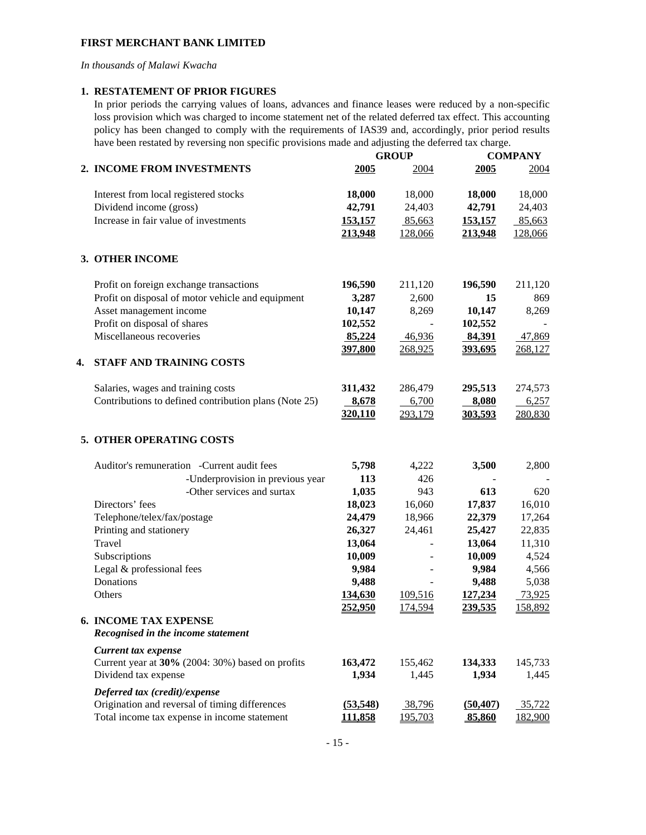*In thousands of Malawi Kwacha* 

## **1. RESTATEMENT OF PRIOR FIGURES**

In prior periods the carrying values of loans, advances and finance leases were reduced by a non-specific loss provision which was charged to income statement net of the related deferred tax effect. This accounting policy has been changed to comply with the requirements of IAS39 and, accordingly, prior period results have been restated by reversing non specific provisions made and adjusting the deferred tax charge.

|    |                                                                    |                | <b>GROUP</b> | <b>COMPANY</b> |         |  |
|----|--------------------------------------------------------------------|----------------|--------------|----------------|---------|--|
|    | 2. INCOME FROM INVESTMENTS                                         | 2005           | 2004         | 2005           | 2004    |  |
|    | Interest from local registered stocks                              | 18,000         | 18,000       | 18,000         | 18,000  |  |
|    | Dividend income (gross)                                            | 42,791         | 24,403       | 42,791         | 24,403  |  |
|    | Increase in fair value of investments                              | 153,157        | 85,663       | 153,157        | 85,663  |  |
|    |                                                                    | 213,948        | 128,066      | 213,948        | 128,066 |  |
|    | 3. OTHER INCOME                                                    |                |              |                |         |  |
|    | Profit on foreign exchange transactions                            | 196,590        | 211,120      | 196,590        | 211,120 |  |
|    | Profit on disposal of motor vehicle and equipment                  | 3,287          | 2,600        | 15             | 869     |  |
|    | Asset management income                                            | 10,147         | 8,269        | 10,147         | 8,269   |  |
|    | Profit on disposal of shares                                       | 102,552        |              | 102,552        |         |  |
|    | Miscellaneous recoveries                                           | 85,224         | 46,936       | 84,391         | 47,869  |  |
|    |                                                                    | 397,800        | 268,925      | 393,695        | 268,127 |  |
| 4. | <b>STAFF AND TRAINING COSTS</b>                                    |                |              |                |         |  |
|    | Salaries, wages and training costs                                 | 311,432        | 286,479      | 295,513        | 274,573 |  |
|    | Contributions to defined contribution plans (Note 25)              | 8,678          | 6,700        | 8,080          | 6,257   |  |
|    |                                                                    | 320,110        | 293,179      | 303,593        | 280,830 |  |
|    | 5. OTHER OPERATING COSTS                                           |                |              |                |         |  |
|    | Auditor's remuneration -Current audit fees                         | 5,798          | 4,222        | 3,500          | 2,800   |  |
|    | -Underprovision in previous year                                   | 113            | 426          |                |         |  |
|    | -Other services and surtax                                         | 1,035          | 943          | 613            | 620     |  |
|    | Directors' fees                                                    | 18,023         | 16,060       | 17,837         | 16,010  |  |
|    | Telephone/telex/fax/postage                                        | 24,479         | 18,966       | 22,379         | 17,264  |  |
|    | Printing and stationery                                            | 26,327         | 24,461       | 25,427         | 22,835  |  |
|    | Travel                                                             | 13,064         |              | 13,064         | 11,310  |  |
|    | Subscriptions                                                      | 10,009         |              | 10,009         | 4,524   |  |
|    | Legal & professional fees                                          | 9,984          |              | 9,984          | 4,566   |  |
|    | Donations                                                          | 9,488          |              | 9,488          | 5,038   |  |
|    | Others                                                             | 134,630        | 109,516      | 127,234        | 73,925  |  |
|    |                                                                    | 252,950        | 174,594      | 239,535        | 158,892 |  |
|    | <b>6. INCOME TAX EXPENSE</b><br>Recognised in the income statement |                |              |                |         |  |
|    | Current tax expense                                                |                |              |                |         |  |
|    | Current year at 30% (2004: 30%) based on profits                   | 163,472        | 155,462      | 134,333        | 145,733 |  |
|    | Dividend tax expense                                               | 1,934          | 1,445        | 1,934          | 1,445   |  |
|    | Deferred tax (credit)/expense                                      |                |              |                |         |  |
|    | Origination and reversal of timing differences                     | (53,548)       | 38,796       | (50, 407)      | 35,722  |  |
|    | Total income tax expense in income statement                       | <u>111,858</u> | 195,703      | 85,860         | 182,900 |  |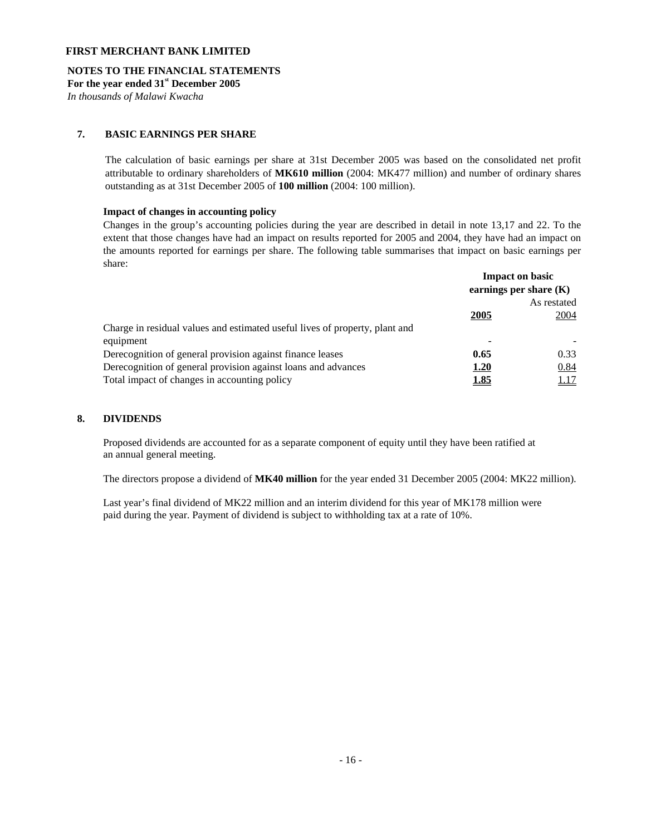## **NOTES TO THE FINANCIAL STATEMENTS**

**For the year ended 31st December 2005** 

*In thousands of Malawi Kwacha* 

## **7. BASIC EARNINGS PER SHARE**

The calculation of basic earnings per share at 31st December 2005 was based on the consolidated net profit attributable to ordinary shareholders of **MK610 million** (2004: MK477 million) and number of ordinary shares outstanding as at 31st December 2005 of **100 million** (2004: 100 million).

#### **Impact of changes in accounting policy**

Changes in the group's accounting policies during the year are described in detail in note 13,17 and 22. To the extent that those changes have had an impact on results reported for 2005 and 2004, they have had an impact on the amounts reported for earnings per share. The following table summarises that impact on basic earnings per share:

|                                                                             |             | <b>Impact on basic</b><br>earnings per share $(K)$ |
|-----------------------------------------------------------------------------|-------------|----------------------------------------------------|
|                                                                             | As restated |                                                    |
|                                                                             | 2005        | 2004                                               |
| Charge in residual values and estimated useful lives of property, plant and |             |                                                    |
| equipment                                                                   |             |                                                    |
| Derecognition of general provision against finance leases                   | 0.65        | 0.33                                               |
| Derecognition of general provision against loans and advances               | 1.20        | 0.84                                               |
| Total impact of changes in accounting policy                                | <u>1.85</u> | 1.17                                               |

## **8. DIVIDENDS**

Proposed dividends are accounted for as a separate component of equity until they have been ratified at an annual general meeting.

The directors propose a dividend of **MK40 million** for the year ended 31 December 2005 (2004: MK22 million).

Last year's final dividend of MK22 million and an interim dividend for this year of MK178 million were paid during the year. Payment of dividend is subject to withholding tax at a rate of 10%.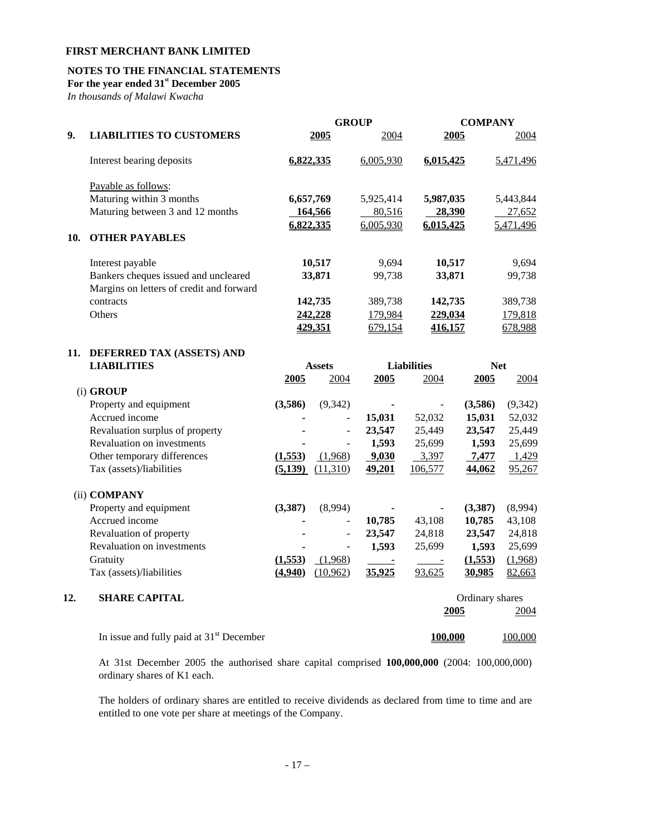# **NOTES TO THE FINANCIAL STATEMENTS**

**For the year ended 31st December 2005** 

*In thousands of Malawi Kwacha* 

|     |                                                                                  | <b>GROUP</b> |                          |           | <b>COMPANY</b>           |                 |            |  |
|-----|----------------------------------------------------------------------------------|--------------|--------------------------|-----------|--------------------------|-----------------|------------|--|
| 9.  | <b>LIABILITIES TO CUSTOMERS</b>                                                  |              | 2005                     | 2004      |                          | 2005            | 2004       |  |
|     | Interest bearing deposits                                                        | 6,822,335    |                          | 6,005,930 | 6,015,425                |                 | 5,471,496  |  |
|     | Payable as follows:                                                              |              |                          |           |                          |                 |            |  |
|     | Maturing within 3 months                                                         | 6,657,769    |                          | 5,925,414 | 5,987,035                |                 | 5,443,844  |  |
|     | Maturing between 3 and 12 months                                                 |              | 164,566                  | 80,516    | 28,390                   |                 | 27,652     |  |
| 10. | <b>OTHER PAYABLES</b>                                                            | 6,822,335    |                          | 6,005,930 | 6,015,425                |                 | 5,471,496  |  |
|     | Interest payable                                                                 |              | 10,517                   | 9,694     | 10,517                   |                 | 9,694      |  |
|     | Bankers cheques issued and uncleared<br>Margins on letters of credit and forward |              | 33,871                   | 99,738    | 33,871                   |                 | 99,738     |  |
|     | contracts                                                                        |              | 142,735                  | 389,738   | 142,735                  |                 | 389,738    |  |
|     | Others                                                                           |              | 242,228                  | 179,984   | 229,034                  |                 | 179,818    |  |
|     |                                                                                  |              | 429,351                  | 679,154   | 416,157                  |                 | 678,988    |  |
| 11. | DEFERRED TAX (ASSETS) AND                                                        |              |                          |           |                          |                 |            |  |
|     | <b>LIABILITIES</b>                                                               |              | <b>Assets</b>            |           | <b>Liabilities</b>       |                 | <b>Net</b> |  |
|     |                                                                                  | 2005         | 2004                     | 2005      | 2004                     | 2005            | 2004       |  |
|     | (i) GROUP                                                                        |              |                          |           |                          |                 |            |  |
|     | Property and equipment                                                           | (3,586)      | (9, 342)                 |           |                          | (3,586)         | (9, 342)   |  |
|     | Accrued income                                                                   |              |                          | 15,031    | 52,032                   | 15,031          | 52,032     |  |
|     | Revaluation surplus of property                                                  |              | $\overline{\phantom{m}}$ | 23,547    | 25,449                   | 23,547          | 25,449     |  |
|     | Revaluation on investments                                                       |              | $\frac{1}{2}$            | 1,593     | 25,699                   | 1,593           | 25,699     |  |
|     | Other temporary differences                                                      | (1,553)      | (1,968)                  | 9,030     | 3,397                    | 7,477           | 1,429      |  |
|     | Tax (assets)/liabilities                                                         | (5,139)      | (11,310)                 | 49,201    | 106,577                  | 44,062          | 95,267     |  |
|     | (ii) COMPANY                                                                     |              |                          |           |                          |                 |            |  |
|     | Property and equipment                                                           | (3, 387)     | (8,994)                  |           | $\overline{\phantom{a}}$ | (3,387)         | (8,994)    |  |
|     | Accrued income                                                                   |              | $\overline{\phantom{m}}$ | 10,785    | 43,108                   | 10,785          | 43,108     |  |
|     | Revaluation of property                                                          |              | ÷,                       | 23,547    | 24,818                   | 23,547          | 24,818     |  |
|     | Revaluation on investments                                                       |              |                          | 1,593     | 25,699                   | 1,593           | 25,699     |  |
|     | Gratuity                                                                         | (1,553)      | (1,968)                  |           |                          | (1,553)         | (1,968)    |  |
|     | Tax (assets)/liabilities                                                         | (4,940)      | (10,962)                 | 35,925    | 93,625                   | 30,985          | 82,663     |  |
| 12. | <b>SHARE CAPITAL</b>                                                             |              |                          |           |                          | Ordinary shares |            |  |
|     |                                                                                  |              |                          |           | 2005                     |                 | 2004       |  |
|     | In issue and fully paid at $31st$ December                                       |              |                          |           | 100,000                  |                 | 100,000    |  |

At 31st December 2005 the authorised share capital comprised **100,000,000** (2004: 100,000,000) ordinary shares of K1 each.

 The holders of ordinary shares are entitled to receive dividends as declared from time to time and are entitled to one vote per share at meetings of the Company.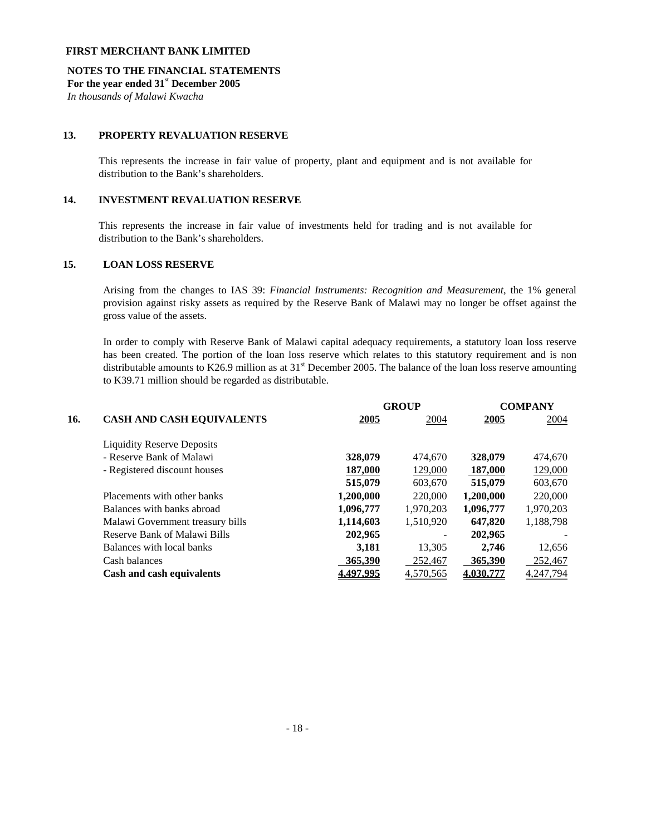## **NOTES TO THE FINANCIAL STATEMENTS**

**For the year ended 31st December 2005** 

*In thousands of Malawi Kwacha*

# **13. PROPERTY REVALUATION RESERVE**

This represents the increase in fair value of property, plant and equipment and is not available for distribution to the Bank's shareholders.

# **14. INVESTMENT REVALUATION RESERVE**

This represents the increase in fair value of investments held for trading and is not available for distribution to the Bank's shareholders.

## **15. LOAN LOSS RESERVE**

Arising from the changes to IAS 39: *Financial Instruments: Recognition and Measurement*, the 1% general provision against risky assets as required by the Reserve Bank of Malawi may no longer be offset against the gross value of the assets.

In order to comply with Reserve Bank of Malawi capital adequacy requirements, a statutory loan loss reserve has been created. The portion of the loan loss reserve which relates to this statutory requirement and is non distributable amounts to K26.9 million as at  $31<sup>st</sup>$  December 2005. The balance of the loan loss reserve amounting to K39.71 million should be regarded as distributable.

|     |                                   |           | <b>GROUP</b> |           |           |
|-----|-----------------------------------|-----------|--------------|-----------|-----------|
| 16. | <b>CASH AND CASH EQUIVALENTS</b>  | 2005      | 2004         | 2005      | 2004      |
|     | <b>Liquidity Reserve Deposits</b> |           |              |           |           |
|     | - Reserve Bank of Malawi          | 328,079   | 474,670      | 328,079   | 474,670   |
|     | - Registered discount houses      | 187,000   | 129,000      | 187,000   | 129,000   |
|     |                                   | 515,079   | 603,670      | 515,079   | 603,670   |
|     | Placements with other banks       | 1,200,000 | 220,000      | 1,200,000 | 220,000   |
|     | Balances with banks abroad        | 1,096,777 | 1,970,203    | 1,096,777 | 1,970,203 |
|     | Malawi Government treasury bills  | 1,114,603 | 1,510,920    | 647,820   | 1,188,798 |
|     | Reserve Bank of Malawi Bills      | 202,965   |              | 202,965   |           |
|     | Balances with local banks         | 3,181     | 13.305       | 2.746     | 12,656    |
|     | Cash balances                     | 365,390   | 252,467      | 365,390   | 252,467   |
|     | Cash and cash equivalents         | 4.497.995 | 4,570,565    | 4,030,777 | 4,247,794 |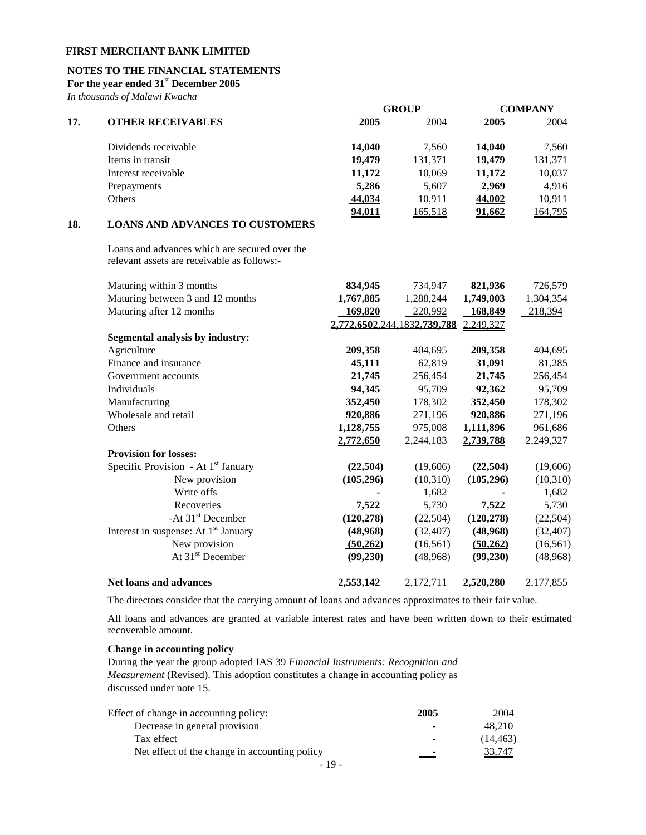# **NOTES TO THE FINANCIAL STATEMENTS**

**For the year ended 31st December 2005** 

*In thousands of Malawi Kwacha*

|     |                                                                                              |                             | <b>GROUP</b> |            | <b>COMPANY</b> |
|-----|----------------------------------------------------------------------------------------------|-----------------------------|--------------|------------|----------------|
| 17. | <b>OTHER RECEIVABLES</b>                                                                     | 2005                        | 2004         | 2005       | 2004           |
|     | Dividends receivable                                                                         | 14,040                      | 7,560        | 14,040     | 7,560          |
|     | Items in transit                                                                             | 19,479                      | 131,371      | 19,479     | 131,371        |
|     | Interest receivable                                                                          | 11,172                      | 10,069       | 11,172     | 10,037         |
|     | Prepayments                                                                                  | 5,286                       | 5,607        | 2,969      | 4,916          |
|     | Others                                                                                       | 44,034                      | 10,911       | 44,002     | 10,911         |
|     |                                                                                              | 94,011                      | 165,518      | 91,662     | 164,795        |
| 18. | <b>LOANS AND ADVANCES TO CUSTOMERS</b>                                                       |                             |              |            |                |
|     | Loans and advances which are secured over the<br>relevant assets are receivable as follows:- |                             |              |            |                |
|     | Maturing within 3 months                                                                     | 834,945                     | 734,947      | 821,936    | 726,579        |
|     | Maturing between 3 and 12 months                                                             | 1,767,885                   | 1,288,244    | 1,749,003  | 1,304,354      |
|     | Maturing after 12 months                                                                     | 169,820                     | 220,992      | 168,849    | 218,394        |
|     |                                                                                              | 2,772,6502,244,1832,739,788 |              | 2,249,327  |                |
|     | Segmental analysis by industry:                                                              |                             |              |            |                |
|     | Agriculture                                                                                  | 209,358                     | 404,695      | 209,358    | 404,695        |
|     | Finance and insurance                                                                        | 45,111                      | 62,819       | 31,091     | 81,285         |
|     | Government accounts                                                                          | 21,745                      | 256,454      | 21,745     | 256,454        |
|     | Individuals                                                                                  | 94,345                      | 95,709       | 92,362     | 95,709         |
|     | Manufacturing                                                                                | 352,450                     | 178,302      | 352,450    | 178,302        |
|     | Wholesale and retail                                                                         | 920,886                     | 271,196      | 920,886    | 271,196        |
|     | Others                                                                                       | 1,128,755                   | 975,008      | 1,111,896  | 961,686        |
|     |                                                                                              | 2,772,650                   | 2,244,183    | 2,739,788  | 2,249,327      |
|     | <b>Provision for losses:</b>                                                                 |                             |              |            |                |
|     | Specific Provision - At 1 <sup>st</sup> January                                              | (22, 504)                   | (19,606)     | (22, 504)  | (19,606)       |
|     | New provision                                                                                | (105, 296)                  | (10,310)     | (105, 296) | (10,310)       |
|     | Write offs                                                                                   |                             | 1,682        |            | 1,682          |
|     | Recoveries                                                                                   | 7,522                       | 5,730        | 7,522      | 5,730          |
|     | -At 31 <sup>st</sup> December                                                                | (120, 278)                  | (22, 504)    | (120, 278) | (22, 504)      |
|     | Interest in suspense: At 1 <sup>st</sup> January                                             | (48,968)                    | (32, 407)    | (48,968)   | (32, 407)      |
|     | New provision                                                                                | (50,262)                    | (16, 561)    | (50, 262)  | (16, 561)      |
|     | At 31 <sup>st</sup> December                                                                 | (99,230)                    | (48,968)     | (99, 230)  | (48,968)       |
|     | <b>Net loans and advances</b>                                                                | 2,553,142                   | 2,172,711    | 2,520,280  | 2,177,855      |

The directors consider that the carrying amount of loans and advances approximates to their fair value.

All loans and advances are granted at variable interest rates and have been written down to their estimated recoverable amount.

## **Change in accounting policy**

 During the year the group adopted IAS 39 *Financial Instruments: Recognition and Measurement* (Revised). This adoption constitutes a change in accounting policy as discussed under note 15.

| Effect of change in accounting policy:        | 2005 | 2004      |
|-----------------------------------------------|------|-----------|
| Decrease in general provision                 |      | 48.210    |
| Tax effect                                    |      | (14, 463) |
| Net effect of the change in accounting policy | $-$  | 33,747    |
| $-19-$                                        |      |           |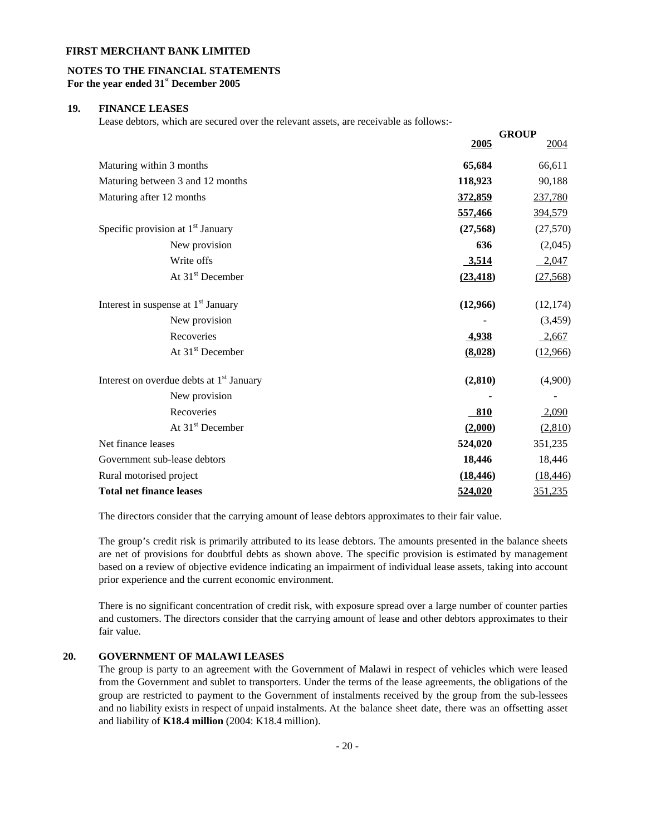## **NOTES TO THE FINANCIAL STATEMENTS For the year ended 31st December 2005**

#### **19. FINANCE LEASES**

Lease debtors, which are secured over the relevant assets, are receivable as follows:-

|                                                      |           | <b>GROUP</b> |
|------------------------------------------------------|-----------|--------------|
|                                                      | 2005      | <u>2004</u>  |
| Maturing within 3 months                             | 65,684    | 66,611       |
| Maturing between 3 and 12 months                     | 118,923   | 90,188       |
| Maturing after 12 months                             | 372,859   | 237,780      |
|                                                      | 557,466   | 394,579      |
| Specific provision at 1 <sup>st</sup> January        | (27, 568) | (27, 570)    |
| New provision                                        | 636       | (2,045)      |
| Write offs                                           | 3,514     | 2,047        |
| At 31 <sup>st</sup> December                         | (23, 418) | (27,568)     |
| Interest in suspense at 1 <sup>st</sup> January      | (12,966)  | (12, 174)    |
| New provision                                        |           | (3,459)      |
| Recoveries                                           | 4,938     | 2,667        |
| At 31 <sup>st</sup> December                         | (8,028)   | (12,966)     |
| Interest on overdue debts at 1 <sup>st</sup> January | (2, 810)  | (4,900)      |
| New provision                                        |           |              |
| Recoveries                                           | 810       | 2,090        |
| At 31 <sup>st</sup> December                         | (2,000)   | (2,810)      |
| Net finance leases                                   | 524,020   | 351,235      |
| Government sub-lease debtors                         | 18,446    | 18,446       |
| Rural motorised project                              | (18, 446) | (18, 446)    |
| <b>Total net finance leases</b>                      | 524,020   | 351,235      |

The directors consider that the carrying amount of lease debtors approximates to their fair value.

The group's credit risk is primarily attributed to its lease debtors. The amounts presented in the balance sheets are net of provisions for doubtful debts as shown above. The specific provision is estimated by management based on a review of objective evidence indicating an impairment of individual lease assets, taking into account prior experience and the current economic environment.

There is no significant concentration of credit risk, with exposure spread over a large number of counter parties and customers. The directors consider that the carrying amount of lease and other debtors approximates to their fair value.

## **20. GOVERNMENT OF MALAWI LEASES**

The group is party to an agreement with the Government of Malawi in respect of vehicles which were leased from the Government and sublet to transporters. Under the terms of the lease agreements, the obligations of the group are restricted to payment to the Government of instalments received by the group from the sub-lessees and no liability exists in respect of unpaid instalments. At the balance sheet date, there was an offsetting asset and liability of **K18.4 million** (2004: K18.4 million).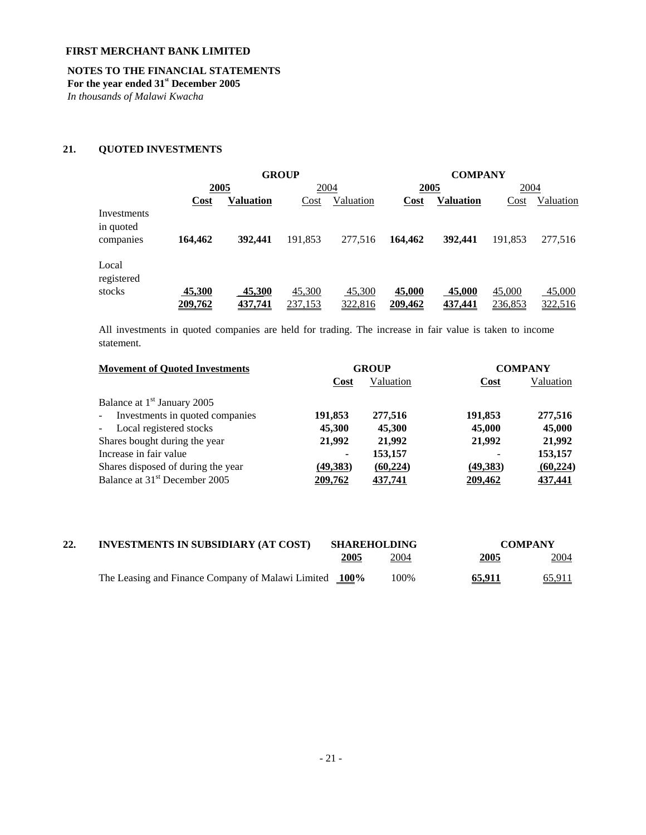## **NOTES TO THE FINANCIAL STATEMENTS**

**For the year ended 31st December 2005** 

*In thousands of Malawi Kwacha* 

# **21. QUOTED INVESTMENTS**

|                          |                | <b>GROUP</b>     |                | <b>COMPANY</b> |                |                  |         |           |
|--------------------------|----------------|------------------|----------------|----------------|----------------|------------------|---------|-----------|
|                          | 2005           |                  | 2004           |                | 2005           |                  | 2004    |           |
|                          | <u>Cost</u>    | <b>Valuation</b> | Cost           | Valuation      | Cost           | <b>Valuation</b> | Cost    | Valuation |
| Investments<br>in quoted |                |                  |                |                |                |                  |         |           |
| companies                | 164.462        | 392,441          | 191,853        | 277,516        | 164,462        | 392,441          | 191,853 | 277,516   |
| Local<br>registered      |                |                  |                |                |                |                  |         |           |
| stocks                   | 45,300         | 45,300           | 45,300         | 45,300         | 45,000         | 45,000           | 45,000  | 45,000    |
|                          | <u>209,762</u> | 437,741          | <u>237,153</u> | 322,816        | <u>209,462</u> | 437,441          | 236,853 | 322,516   |

All investments in quoted companies are held for trading. The increase in fair value is taken to income statement.

| <b>Movement of Quoted Investments</b>             |             | <b>GROUP</b> |          | <b>COMPANY</b> |
|---------------------------------------------------|-------------|--------------|----------|----------------|
|                                                   | <b>Cost</b> | Valuation    | Cost     | Valuation      |
| Balance at 1 <sup>st</sup> January 2005           |             |              |          |                |
| Investments in quoted companies<br>$\blacksquare$ | 191,853     | 277,516      | 191,853  | 277,516        |
| Local registered stocks<br>$\blacksquare$         | 45,300      | 45,300       | 45,000   | 45,000         |
| Shares bought during the year                     | 21,992      | 21,992       | 21,992   | 21,992         |
| Increase in fair value                            | ۰           | 153,157      |          | 153,157        |
| Shares disposed of during the year                | (49, 383)   | (60, 224)    | (49,383) | (60, 224)      |
| Balance at 31 <sup>st</sup> December 2005         | 209,762     | 437,741      | 209,462  | 437,441        |

| 22. | <b>INVESTMENTS IN SUBSIDIARY (AT COST)</b>             |              | <b>SHAREHOLDING</b> |               | <b>COMPANY</b> |
|-----|--------------------------------------------------------|--------------|---------------------|---------------|----------------|
|     |                                                        | <u> 2005</u> | 2004                | <u> 2005 </u> | 2004           |
|     | The Leasing and Finance Company of Malawi Limited 100% |              | 100%                | <u>65,911</u> | <u>65,911</u>  |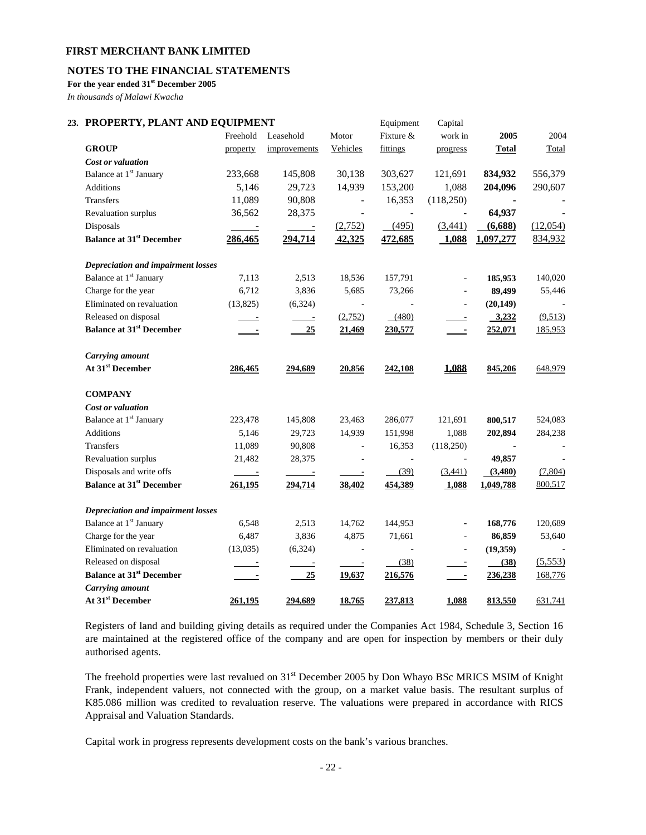# **NOTES TO THE FINANCIAL STATEMENTS**

**For the year ended 31st December 2005** 

*In thousands of Malawi Kwacha* 

# 23. PROPERTY, PLANT AND EQUIPMENT **Equipment** Capital

|                                           | Freehold         | Leasehold      | Motor                    | Fixture $&$              | work in                  | 2005           | 2004     |
|-------------------------------------------|------------------|----------------|--------------------------|--------------------------|--------------------------|----------------|----------|
| <b>GROUP</b>                              |                  |                | Vehicles                 | fittings                 |                          |                |          |
| Cost or valuation                         | property         | improvements   |                          |                          | progress                 | <b>Total</b>   | Total    |
| Balance at 1 <sup>st</sup> January        |                  | 145,808        | 30,138                   | 303,627                  | 121,691                  | 834,932        | 556,379  |
|                                           | 233,668<br>5,146 | 29,723         |                          |                          |                          |                |          |
| Additions                                 |                  |                | 14,939                   | 153,200                  | 1,088                    | 204,096        | 290,607  |
| Transfers                                 | 11,089           | 90,808         | $\overline{\phantom{a}}$ | 16,353                   | (118,250)                | $\blacksquare$ |          |
| Revaluation surplus                       | 36,562           | 28,375         | $\blacksquare$           |                          | $\Box$                   | 64,937         |          |
| Disposals                                 | $\sim$ $-$       | $\sim$ 100 $-$ | (2,752)                  | (495)                    | (3,441)                  | (6,688)        | (12,054) |
| <b>Balance at 31st December</b>           | 286,465          | 294,714        | 42,325                   | 472,685                  | 1,088                    | 1,097,277      | 834,932  |
| <b>Depreciation and impairment losses</b> |                  |                |                          |                          |                          |                |          |
| Balance at 1 <sup>st</sup> January        | 7,113            | 2,513          | 18,536                   | 157,791                  | $\overline{\phantom{a}}$ | 185,953        | 140,020  |
| Charge for the year                       | 6,712            | 3,836          | 5,685                    | 73,266                   | $\overline{\phantom{a}}$ | 89,499         | 55,446   |
| Eliminated on revaluation                 | (13,825)         | (6,324)        |                          |                          | $\overline{\phantom{a}}$ | (20, 149)      |          |
| Released on disposal                      | $\frac{1}{2}$    | $\sim$ $-$     | (2,752)                  | (480)                    | $\overline{\phantom{a}}$ | 3,232          | (9,513)  |
| <b>Balance at 31st December</b>           | ÷                | 25             | 21,469                   | 230,577                  | $\blacksquare$           | 252,071        | 185,953  |
| <b>Carrying</b> amount                    |                  |                |                          |                          |                          |                |          |
| At 31 <sup>st</sup> December              | 286,465          | 294,689        | 20,856                   | 242,108                  | 1,088                    | 845,206        | 648,979  |
| <b>COMPANY</b>                            |                  |                |                          |                          |                          |                |          |
| Cost or valuation                         |                  |                |                          |                          |                          |                |          |
| Balance at 1 <sup>st</sup> January        | 223,478          | 145,808        | 23,463                   | 286,077                  | 121,691                  | 800,517        | 524,083  |
| <b>Additions</b>                          | 5,146            | 29,723         | 14,939                   | 151,998                  | 1,088                    | 202,894        | 284,238  |
| Transfers                                 | 11,089           | 90,808         | $\overline{\phantom{a}}$ | 16,353                   | (118,250)                | $\blacksquare$ |          |
| Revaluation surplus                       | 21,482           | 28,375         | $\overline{\phantom{a}}$ | $\overline{\phantom{a}}$ | $\overline{\phantom{a}}$ | 49,857         |          |
| Disposals and write offs                  | $\sim$ 100 $\pm$ | $\frac{1}{2}$  | $\equiv$                 | (39)                     | (3,441)                  | (3,480)        | (7,804)  |
| <b>Balance at 31st December</b>           | 261,195          | 294,714        | 38,402                   | 454,389                  | 1,088                    | 1,049,788      | 800,517  |
| <b>Depreciation and impairment losses</b> |                  |                |                          |                          |                          |                |          |
| Balance at 1 <sup>st</sup> January        | 6,548            | 2,513          | 14,762                   | 144,953                  | $\blacksquare$           | 168,776        | 120,689  |
| Charge for the year                       | 6,487            | 3,836          | 4,875                    | 71,661                   | $\overline{\phantom{a}}$ | 86,859         | 53,640   |
| Eliminated on revaluation                 | (13,035)         | (6,324)        | $\overline{\phantom{a}}$ |                          | $\Box$                   | (19,359)       |          |
| Released on disposal                      | $\sim$ $-$       | $\equiv$       | $\equiv$                 | (38)                     |                          | (38)           | (5,553)  |
| <b>Balance at 31st December</b>           |                  | 25             | 19,637                   | 216,576                  | $\overline{\phantom{a}}$ | 236,238        | 168,776  |
| Carrying amount                           |                  |                |                          |                          |                          |                |          |
| At 31 <sup>st</sup> December              | 261,195          | 294,689        | 18,765                   | 237,813                  | 1,088                    | 813,550        | 631,741  |
|                                           |                  |                |                          |                          |                          |                |          |

Registers of land and building giving details as required under the Companies Act 1984, Schedule 3, Section 16 are maintained at the registered office of the company and are open for inspection by members or their duly authorised agents.

The freehold properties were last revalued on 31<sup>st</sup> December 2005 by Don Whayo BSc MRICS MSIM of Knight Frank, independent valuers, not connected with the group, on a market value basis. The resultant surplus of K85.086 million was credited to revaluation reserve. The valuations were prepared in accordance with RICS Appraisal and Valuation Standards.

Capital work in progress represents development costs on the bank's various branches.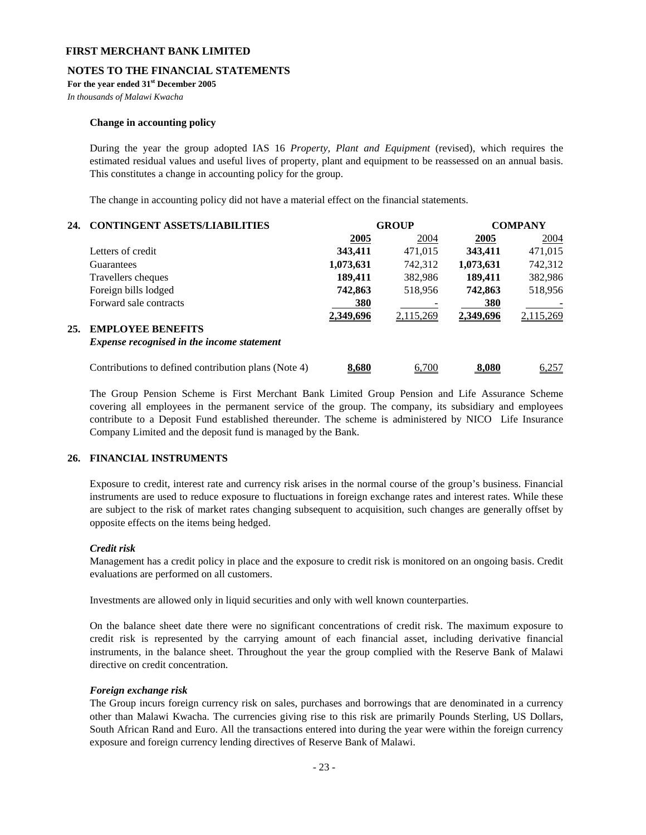## **NOTES TO THE FINANCIAL STATEMENTS**

**For the year ended 31st December 2005** 

*In thousands of Malawi Kwacha* 

### **Change in accounting policy**

During the year the group adopted IAS 16 *Property, Plant and Equipment* (revised), which requires the estimated residual values and useful lives of property, plant and equipment to be reassessed on an annual basis. This constitutes a change in accounting policy for the group.

The change in accounting policy did not have a material effect on the financial statements.

| 24. | <b>CONTINGENT ASSETS/LIABILITIES</b>                 |             | <b>GROUP</b> | <b>COMPANY</b> |           |  |
|-----|------------------------------------------------------|-------------|--------------|----------------|-----------|--|
|     |                                                      | <b>2005</b> | 2004         | <b>2005</b>    | 2004      |  |
|     | Letters of credit                                    | 343,411     | 471,015      | 343,411        | 471,015   |  |
|     | Guarantees                                           | 1,073,631   | 742,312      | 1,073,631      | 742,312   |  |
|     | Travellers cheques                                   | 189,411     | 382,986      | 189,411        | 382,986   |  |
|     | Foreign bills lodged                                 | 742,863     | 518,956      | 742,863        | 518,956   |  |
|     | Forward sale contracts                               | 380         |              | 380            |           |  |
|     |                                                      | 2,349,696   | 2,115,269    | 2,349,696      | 2,115,269 |  |
| 25. | <b>EMPLOYEE BENEFITS</b>                             |             |              |                |           |  |
|     | <b>Expense recognised in the income statement</b>    |             |              |                |           |  |
|     | Contributions to defined contribution plans (Note 4) | 8,680       | 6.700        | 8.080          | 6,257     |  |

 The Group Pension Scheme is First Merchant Bank Limited Group Pension and Life Assurance Scheme covering all employees in the permanent service of the group. The company, its subsidiary and employees contribute to a Deposit Fund established thereunder. The scheme is administered by NICO Life Insurance Company Limited and the deposit fund is managed by the Bank.

## **26. FINANCIAL INSTRUMENTS**

 Exposure to credit, interest rate and currency risk arises in the normal course of the group's business. Financial instruments are used to reduce exposure to fluctuations in foreign exchange rates and interest rates. While these are subject to the risk of market rates changing subsequent to acquisition, such changes are generally offset by opposite effects on the items being hedged.

## *Credit risk*

 Management has a credit policy in place and the exposure to credit risk is monitored on an ongoing basis. Credit evaluations are performed on all customers.

Investments are allowed only in liquid securities and only with well known counterparties.

 On the balance sheet date there were no significant concentrations of credit risk. The maximum exposure to credit risk is represented by the carrying amount of each financial asset, including derivative financial instruments, in the balance sheet. Throughout the year the group complied with the Reserve Bank of Malawi directive on credit concentration.

## *Foreign exchange risk*

 The Group incurs foreign currency risk on sales, purchases and borrowings that are denominated in a currency other than Malawi Kwacha. The currencies giving rise to this risk are primarily Pounds Sterling, US Dollars, South African Rand and Euro. All the transactions entered into during the year were within the foreign currency exposure and foreign currency lending directives of Reserve Bank of Malawi.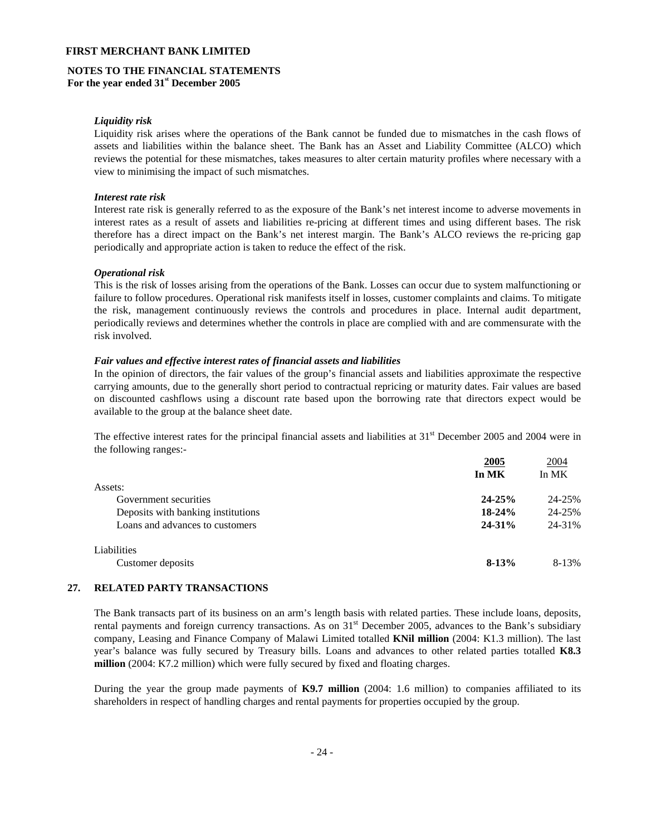#### **NOTES TO THE FINANCIAL STATEMENTS For the year ended 31st December 2005**

## *Liquidity risk*

 Liquidity risk arises where the operations of the Bank cannot be funded due to mismatches in the cash flows of assets and liabilities within the balance sheet. The Bank has an Asset and Liability Committee (ALCO) which reviews the potential for these mismatches, takes measures to alter certain maturity profiles where necessary with a view to minimising the impact of such mismatches.

#### *Interest rate risk*

 Interest rate risk is generally referred to as the exposure of the Bank's net interest income to adverse movements in interest rates as a result of assets and liabilities re-pricing at different times and using different bases. The risk therefore has a direct impact on the Bank's net interest margin. The Bank's ALCO reviews the re-pricing gap periodically and appropriate action is taken to reduce the effect of the risk.

#### *Operational risk*

 This is the risk of losses arising from the operations of the Bank. Losses can occur due to system malfunctioning or failure to follow procedures. Operational risk manifests itself in losses, customer complaints and claims. To mitigate the risk, management continuously reviews the controls and procedures in place. Internal audit department, periodically reviews and determines whether the controls in place are complied with and are commensurate with the risk involved.

#### *Fair values and effective interest rates of financial assets and liabilities*

In the opinion of directors, the fair values of the group's financial assets and liabilities approximate the respective carrying amounts, due to the generally short period to contractual repricing or maturity dates. Fair values are based on discounted cashflows using a discount rate based upon the borrowing rate that directors expect would be available to the group at the balance sheet date.

The effective interest rates for the principal financial assets and liabilities at  $31<sup>st</sup>$  December 2005 and 2004 were in the following ranges:-

|                                    | 2005<br>In MK | 2004<br>In MK |
|------------------------------------|---------------|---------------|
| Assets:                            |               |               |
| Government securities              | $24 - 25%$    | 24-25%        |
| Deposits with banking institutions | $18-24%$      | 24-25%        |
| Loans and advances to customers    | $24 - 31\%$   | 24-31%        |
| Liabilities                        |               |               |
| Customer deposits                  | $8-13%$       | 8-13%         |

## **27. RELATED PARTY TRANSACTIONS**

The Bank transacts part of its business on an arm's length basis with related parties. These include loans, deposits, rental payments and foreign currency transactions. As on 31<sup>st</sup> December 2005, advances to the Bank's subsidiary company, Leasing and Finance Company of Malawi Limited totalled **KNil million** (2004: K1.3 million). The last year's balance was fully secured by Treasury bills. Loans and advances to other related parties totalled **K8.3 million** (2004: K7.2 million) which were fully secured by fixed and floating charges.

During the year the group made payments of **K9.7 million** (2004: 1.6 million) to companies affiliated to its shareholders in respect of handling charges and rental payments for properties occupied by the group.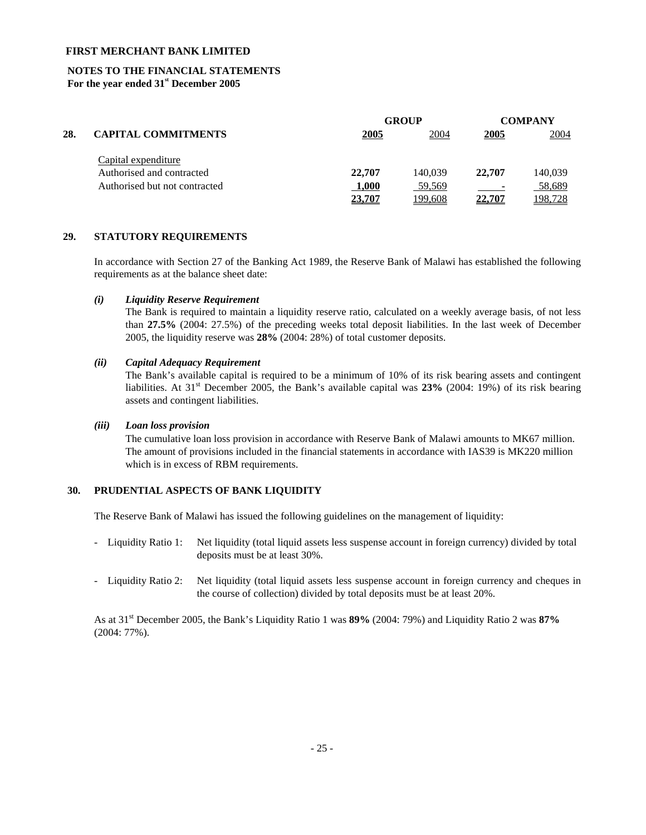## **NOTES TO THE FINANCIAL STATEMENTS For the year ended 31st December 2005**

|     |                               |        | <b>GROUP</b> |                          | <b>COMPANY</b> |
|-----|-------------------------------|--------|--------------|--------------------------|----------------|
| 28. | <b>CAPITAL COMMITMENTS</b>    | 2005   | 2004         | 2005                     | 2004           |
|     | Capital expenditure           |        |              |                          |                |
|     | Authorised and contracted     | 22,707 | 140.039      | 22,707                   | 140,039        |
|     | Authorised but not contracted | 1,000  | 59,569       | $\overline{\phantom{0}}$ | 58,689         |
|     |                               | 23,707 | 199,608      | 22,707                   | 198,728        |

#### **29. STATUTORY REQUIREMENTS**

 In accordance with Section 27 of the Banking Act 1989, the Reserve Bank of Malawi has established the following requirements as at the balance sheet date:

#### *(i) Liquidity Reserve Requirement*

 The Bank is required to maintain a liquidity reserve ratio, calculated on a weekly average basis, of not less than **27.5%** (2004: 27.5%) of the preceding weeks total deposit liabilities. In the last week of December 2005, the liquidity reserve was **28%** (2004: 28%) of total customer deposits.

## *(ii) Capital Adequacy Requirement*

 The Bank's available capital is required to be a minimum of 10% of its risk bearing assets and contingent liabilities. At 31<sup>st</sup> December 2005, the Bank's available capital was 23% (2004: 19%) of its risk bearing assets and contingent liabilities.

## *(iii) Loan loss provision*

The cumulative loan loss provision in accordance with Reserve Bank of Malawi amounts to MK67 million. The amount of provisions included in the financial statements in accordance with IAS39 is MK220 million which is in excess of RBM requirements.

## **30. PRUDENTIAL ASPECTS OF BANK LIQUIDITY**

The Reserve Bank of Malawi has issued the following guidelines on the management of liquidity:

- Liquidity Ratio 1: Net liquidity (total liquid assets less suspense account in foreign currency) divided by total deposits must be at least 30%.
- Liquidity Ratio 2: Net liquidity (total liquid assets less suspense account in foreign currency and cheques in the course of collection) divided by total deposits must be at least 20%.

As at 31st December 2005, the Bank's Liquidity Ratio 1 was **89%** (2004: 79%) and Liquidity Ratio 2 was **87%** (2004: 77%).